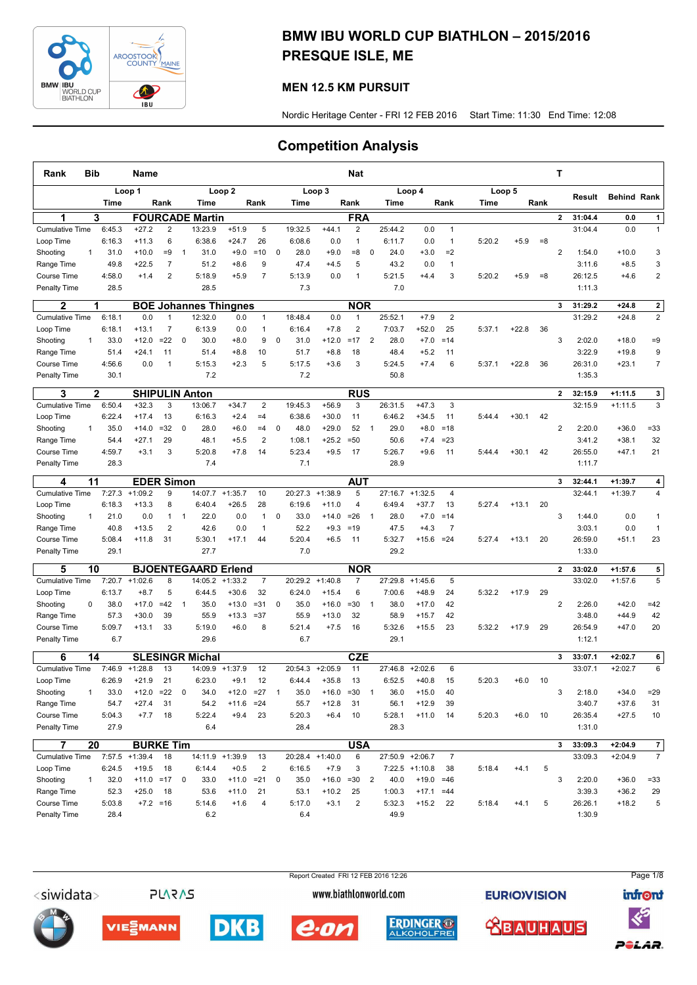

## BMW IBU WORLD CUP BIATHLON – 2015/2016 PRESQUE ISLE, ME

## MEN 12.5 KM PURSUIT

Nordic Heritage Center - FRI 12 FEB 2016 Start Time: 11:30 End Time: 12:08

## Competition Analysis

| Rank                        | <b>Bib</b>   |              | Name              |                   |                         |                                |                        |                         |              |         |                   | <b>Nat</b>                   |                |         |                      |                |        |         |       | Т              |                    |                    |                         |
|-----------------------------|--------------|--------------|-------------------|-------------------|-------------------------|--------------------------------|------------------------|-------------------------|--------------|---------|-------------------|------------------------------|----------------|---------|----------------------|----------------|--------|---------|-------|----------------|--------------------|--------------------|-------------------------|
|                             |              |              | Loop 1            |                   |                         |                                | Loop <sub>2</sub>      |                         |              |         | Loop 3            |                              |                |         | Loop 4               |                |        | Loop 5  |       |                | Result             | <b>Behind Rank</b> |                         |
|                             |              | Time         |                   | Rank              |                         | Time                           |                        | Rank                    |              | Time    |                   | Rank                         |                | Time    |                      | Rank           | Time   |         | Rank  |                |                    |                    |                         |
| 1                           |              | 3            |                   |                   |                         | <b>FOURCADE Martin</b>         |                        |                         |              |         |                   | <b>FRA</b>                   |                |         |                      |                |        |         |       | $\mathbf{2}$   | 31:04.4            | 0.0                | 1                       |
| <b>Cumulative Time</b>      |              | 6:45.3       | $+27.2$           | 2                 |                         | 13:23.9                        | $+51.9$                | 5                       |              | 19:32.5 | $+44.1$           | $\overline{2}$               |                | 25:44.2 | 0.0                  | $\mathbf{1}$   |        |         |       |                | 31:04.4            | 0.0                | $\mathbf{1}$            |
| Loop Time                   |              | 6:16.3       | $+11.3$           | 6                 |                         | 6:38.6                         | $+24.7$                | 26                      |              | 6:08.6  | 0.0               | 1                            |                | 6:11.7  | 0.0                  | $\mathbf{1}$   | 5:20.2 | $+5.9$  | $= 8$ |                |                    |                    |                         |
| Shooting                    | $\mathbf{1}$ | 31.0         | $+10.0$           | $=9$              | $\overline{1}$          | 31.0                           | $+9.0$                 | $=10$                   | $\mathbf 0$  | 28.0    | $+9.0$            | $= 8$                        | $\mathbf 0$    | 24.0    | $+3.0$               | $=2$           |        |         |       | $\overline{2}$ | 1:54.0             | $+10.0$            | 3                       |
| Range Time                  |              | 49.8         | $+22.5$           | $\overline{7}$    |                         | 51.2                           | $+8.6$                 | 9                       |              | 47.4    | $+4.5$            | 5                            |                | 43.2    | 0.0                  | $\mathbf{1}$   |        |         |       |                | 3:11.6             | $+8.5$             | 3                       |
| Course Time                 |              | 4:58.0       | $+1.4$            | $\overline{2}$    |                         | 5:18.9                         | $+5.9$                 | $\overline{7}$          |              | 5:13.9  | 0.0               | 1                            |                | 5:21.5  | $+4.4$               | 3              | 5:20.2 | $+5.9$  | $= 8$ |                | 26:12.5            | $+4.6$             | $\overline{\mathbf{c}}$ |
| <b>Penalty Time</b>         |              | 28.5         |                   |                   |                         | 28.5                           |                        |                         |              | 7.3     |                   |                              |                | 7.0     |                      |                |        |         |       |                | 1:11.3             |                    |                         |
| 2                           |              | 1            |                   |                   |                         | <b>BOE Johannes Thingnes</b>   |                        |                         |              |         |                   | <b>NOR</b>                   |                |         |                      |                |        |         |       | 3              | 31:29.2            | $+24.8$            | $\mathbf 2$             |
| <b>Cumulative Time</b>      |              | 6:18.1       | 0.0               | $\overline{1}$    |                         | 12:32.0                        | 0.0                    | $\mathbf{1}$            |              | 18:48.4 | 0.0               | $\mathbf{1}$                 |                | 25:52.1 | $+7.9$               | $\overline{2}$ |        |         |       |                | 31:29.2            | $+24.8$            | $\overline{2}$          |
| Loop Time                   |              | 6:18.1       | $+13.1$           | $\overline{7}$    |                         | 6:13.9                         | 0.0                    | 1                       |              | 6:16.4  | $+7.8$            | $\overline{\mathbf{c}}$      |                | 7:03.7  | $+52.0$              | 25             | 5:37.1 | $+22.8$ | 36    |                |                    |                    |                         |
| Shooting                    | 1            | 33.0         | $+12.0$           | $=22$             | $\mathbf 0$             | 30.0                           | $+8.0$                 | 9                       | $\mathbf 0$  | 31.0    | $+12.0$           | $=17$                        | 2              | 28.0    | $+7.0$               | $=14$          |        |         |       | 3              | 2:02.0             | $+18.0$            | $=9$                    |
| Range Time                  |              | 51.4         | $+24.1$           | 11                |                         | 51.4                           | $+8.8$                 | 10                      |              | 51.7    | $+8.8$            | 18                           |                | 48.4    | $+5.2$               | 11             |        |         |       |                | 3:22.9             | $+19.8$            | 9                       |
| <b>Course Time</b>          |              | 4:56.6       | 0.0               | $\overline{1}$    |                         | 5:15.3                         | $+2.3$                 | 5                       |              | 5:17.5  | $+3.6$            | 3                            |                | 5:24.5  | $+7.4$               | 6              | 5:37.1 | $+22.8$ | 36    |                | 26:31.0            | $+23.1$            | $\overline{7}$          |
| <b>Penalty Time</b>         |              | 30.1         |                   |                   |                         | 7.2                            |                        |                         |              | 7.2     |                   |                              |                | 50.8    |                      |                |        |         |       |                | 1:35.3             |                    |                         |
| 3                           |              | $\mathbf{2}$ |                   |                   |                         | <b>SHIPULIN Anton</b>          |                        |                         |              |         |                   | <b>RUS</b>                   |                |         |                      |                |        |         |       | $\mathbf{2}$   | 32:15.9            | $+1:11.5$          | 3                       |
| <b>Cumulative Time</b>      |              | 6:50.4       | $+32.3$           | 3                 |                         | 13:06.7                        | $+34.7$                | $\overline{2}$          |              | 19:45.3 | $+56.9$           | 3                            |                | 26:31.5 | $+47.3$              | 3              |        |         |       |                | 32:15.9            | $+1:11.5$          | 3                       |
| Loop Time                   |              | 6:22.4       | $+17.4$           | 13                |                         | 6:16.3                         | $+2.4$                 | $=4$                    |              | 6:38.6  | $+30.0$           | 11                           |                | 6:46.2  | $+34.5$              | 11             | 5:44.4 | $+30.1$ | 42    |                |                    |                    |                         |
| Shooting                    | $\mathbf{1}$ | 35.0         | $+14.0$           | $=32$             | 0                       | 28.0                           | $+6.0$                 | $=4$                    | $\mathbf 0$  | 48.0    | $+29.0$           | 52                           | $\mathbf{1}$   | 29.0    | $+8.0$               | $=18$          |        |         |       | $\overline{2}$ | 2:20.0             | $+36.0$            | $= 33$                  |
| Range Time                  |              | 54.4         | $+27.1$           | 29                |                         | 48.1                           | $+5.5$                 | $\overline{2}$          |              | 1:08.1  | $+25.2$           | $=50$                        |                | 50.6    | $+7.4$               | $= 23$         |        |         |       |                | 3:41.2             | $+38.1$            | 32                      |
| Course Time                 |              | 4:59.7       | $+3.1$            | 3                 |                         | 5:20.8                         | $+7.8$                 | 14                      |              | 5:23.4  | $+9.5$            | 17                           |                | 5:26.7  | $+9.6$               | 11             | 5:44.4 | $+30.1$ | 42    |                | 26:55.0            | $+47.1$            | 21                      |
| <b>Penalty Time</b>         |              | 28.3         |                   |                   |                         | 7.4                            |                        |                         |              | 7.1     |                   |                              |                | 28.9    |                      |                |        |         |       |                | 1:11.7             |                    |                         |
|                             | 11           |              |                   | <b>EDER Simon</b> |                         |                                |                        |                         |              |         |                   | <b>AUT</b>                   |                |         |                      |                |        |         |       | 3              | 32:44.1            | $+1:39.7$          |                         |
| 4<br><b>Cumulative Time</b> |              | 7:27.3       | $+1:09.2$         | 9                 |                         | 14:07.7                        | $+1:35.7$              | 10                      |              | 20:27.3 | $+1:38.9$         | 5                            |                | 27:16.7 | $+1:32.5$            | $\overline{4}$ |        |         |       |                | 32:44.1            | $+1:39.7$          | 4<br>4                  |
| Loop Time                   |              | 6:18.3       | $+13.3$           | 8                 |                         | 6:40.4                         | $+26.5$                | 28                      |              | 6:19.6  | $+11.0$           | 4                            |                | 6:49.4  | $+37.7$              | 13             | 5:27.4 | $+13.1$ | 20    |                |                    |                    |                         |
| Shooting                    | 1            | 21.0         | 0.0               | 1                 | $\mathbf{1}$            | 22.0                           | 0.0                    | $\mathbf{1}$            | 0            | 33.0    | $+14.0$           | $= 26$                       | $\mathbf{1}$   | 28.0    | $+7.0$               | $=14$          |        |         |       | 3              | 1:44.0             | 0.0                | 1                       |
| Range Time                  |              | 40.8         | $+13.5$           | $\overline{2}$    |                         | 42.6                           | 0.0                    | $\mathbf{1}$            |              | 52.2    | $+9.3$            | $=19$                        |                | 47.5    | $+4.3$               | $\overline{7}$ |        |         |       |                | 3:03.1             | 0.0                | $\mathbf{1}$            |
| <b>Course Time</b>          |              | 5:08.4       | $+11.8$           | 31                |                         | 5:30.1                         | $+17.1$                | 44                      |              | 5:20.4  | $+6.5$            | 11                           |                | 5:32.7  | $+15.6$              | $= 24$         | 5:27.4 | $+13.1$ | 20    |                | 26:59.0            | $+51.1$            | 23                      |
| <b>Penalty Time</b>         |              | 29.1         |                   |                   |                         | 27.7                           |                        |                         |              | 7.0     |                   |                              |                | 29.2    |                      |                |        |         |       |                | 1:33.0             |                    |                         |
|                             |              |              |                   |                   |                         |                                |                        |                         |              |         |                   |                              |                |         |                      |                |        |         |       |                |                    |                    |                         |
| 5                           | 10           | 7:20.7       | $+1:02.6$         | 8                 |                         | <b>BJOENTEGAARD</b><br>14:05.2 | <b>Erlend</b>          | $\overline{7}$          |              | 20:29.2 | $+1:40.8$         | <b>NOR</b><br>$\overline{7}$ |                | 27:29.8 |                      | 5              |        |         |       | $\overline{2}$ | 33:02.0<br>33:02.0 | $+1:57.6$          | 5<br>5                  |
| <b>Cumulative Time</b>      |              | 6:13.7       | $+8.7$            | 5                 |                         | 6:44.5                         | $+1:33.2$<br>$+30.6$   | 32                      |              | 6:24.0  | $+15.4$           | 6                            |                | 7:00.6  | $+1:45.6$<br>$+48.9$ | 24             | 5:32.2 | $+17.9$ | 29    |                |                    | $+1:57.6$          |                         |
| Loop Time                   | 0            | 38.0         | $+17.0$           | $=42$             |                         | 35.0                           | $+13.0$                | $= 31$                  | 0            | 35.0    | $+16.0$           | $= 30$                       | $\mathbf{1}$   | 38.0    | $+17.0$              |                |        |         |       | $\overline{2}$ | 2:26.0             |                    |                         |
| Shooting<br>Range Time      |              | 57.3         | $+30.0$           | 39                | $\mathbf{1}$            | 55.9                           | $+13.3$                | $= 37$                  |              | 55.9    | $+13.0$           | 32                           |                | 58.9    | $+15.7$              | 42<br>42       |        |         |       |                | 3:48.0             | $+42.0$<br>$+44.9$ | $=42$<br>42             |
| Course Time                 |              | 5:09.7       | $+13.1$           | 33                |                         | 5:19.0                         | $+6.0$                 | 8                       |              | 5:21.4  | $+7.5$            | 16                           |                | 5:32.6  | $+15.5$              | 23             | 5:32.2 | $+17.9$ | 29    |                | 26:54.9            | $+47.0$            | 20                      |
| Penalty Time                |              | 6.7          |                   |                   |                         | 29.6                           |                        |                         |              | 6.7     |                   |                              |                | 29.1    |                      |                |        |         |       |                | 1:12.1             |                    |                         |
|                             |              |              |                   |                   |                         |                                |                        |                         |              |         |                   |                              |                |         |                      |                |        |         |       |                |                    |                    |                         |
| 6                           | 14           |              |                   |                   |                         | <b>SLESINGR Michal</b>         |                        |                         |              |         |                   | <b>CZE</b>                   |                |         |                      |                |        |         |       | 3              | 33:07.1            | $+2:02.7$          | 6                       |
| <b>Cumulative Time</b>      |              | 7:46.9       | $+1:28.8$         | 13                |                         | 14:09.9                        | $+1:37.9$              | 12                      |              | 20:54.3 | $+2:05.9$         | 11                           |                | 27:46.8 | $+2:02.6$            | 6              |        |         |       |                | 33:07.1            | $+2:02.7$          | 6                       |
| Loop Time                   |              | 6:26.9       | $+21.9$           | 21                |                         | 6:23.0                         | $+9.1$                 | 12                      |              | 6:44.4  | $+35.8$           | 13                           |                | 6:52.5  | $+40.8$              | 15             | 5:20.3 | $+6.0$  | 10    |                |                    |                    |                         |
| Shooting                    |              | 33.0         | $+12.0$           | $=22$             | 0                       | 34.0                           | $+12.0$                | $=27$                   | $\mathbf{1}$ | 35.0    | $+16.0$           | $= 30$                       | $\mathbf 1$    | 36.0    | $+15.0$              | 40             |        |         |       | 3              | 2:18.0             | $+34.0$            | $= 29$                  |
| Range Time<br>Course Time   |              | 54.7         | $+27.4$<br>$+7.7$ | 31                |                         | 54.2<br>5:22.4                 | $+11.6 = 24$<br>$+9.4$ | 23                      |              | 55.7    | $+12.8$<br>$+6.4$ | 31                           |                | 56.1    | $+12.9$<br>$+11.0$   | 39             |        | $+6.0$  |       |                | 3:40.7             | $+37.6$            | 31                      |
|                             |              | 5:04.3       |                   | 18                |                         |                                |                        |                         |              | 5:20.3  |                   | 10                           |                | 5:28.1  |                      | 14             | 5:20.3 |         | 10    |                | 26:35.4            | $+27.5$            | 10                      |
| <b>Penalty Time</b>         |              | 27.9         |                   |                   |                         | 6.4                            |                        |                         |              | 28.4    |                   |                              |                | 28.3    |                      |                |        |         |       |                | 1:31.0             |                    |                         |
| $\overline{7}$              | 20           |              |                   | <b>BURKE Tim</b>  |                         |                                |                        |                         |              |         |                   | <b>USA</b>                   |                |         |                      |                |        |         |       | 3              | 33:09.3            | $+2:04.9$          | 7 <sup>1</sup>          |
| <b>Cumulative Time</b>      |              |              | $7:57.5$ +1:39.4  | 18                |                         | 14:11.9 +1:39.9                |                        | 13                      |              |         | 20:28.4 +1:40.0   | 6                            |                |         | 27:50.9 +2:06.7      | $\overline{7}$ |        |         |       |                | 33:09.3            | $+2:04.9$          | $\overline{7}$          |
| Loop Time                   |              | 6:24.5       | $+19.5$           | 18                |                         | 6:14.4                         | $+0.5$                 | $\overline{\mathbf{c}}$ |              | 6:16.5  | $+7.9$            | 3                            |                |         | $7:22.5$ +1:10.8     | 38             | 5:18.4 | $+4.1$  | 5     |                |                    |                    |                         |
| Shooting                    | $\mathbf{1}$ | 32.0         |                   | $+11.0 = 17$      | $\overline{\mathbf{0}}$ | 33.0                           | $+11.0 = 21$           |                         | $\mathbf 0$  | 35.0    | $+16.0$           | $= 30$                       | $\overline{2}$ | 40.0    | $+19.0 = 46$         |                |        |         |       | 3              | 2:20.0             | $+36.0$            | $= 33$                  |
| Range Time                  |              | 52.3         | $+25.0$           | 18                |                         | 53.6                           | $+11.0$                | 21                      |              | 53.1    | $+10.2$           | 25                           |                | 1:00.3  | $+17.1$              | $=44$          |        |         |       |                | 3:39.3             | $+36.2$            | 29                      |
| Course Time                 |              | 5:03.8       |                   | $+7.2 = 16$       |                         | 5:14.6                         | $+1.6$                 | 4                       |              | 5:17.0  | $+3.1$            | $\overline{\mathbf{c}}$      |                | 5:32.3  | $+15.2$              | 22             | 5:18.4 | $+4.1$  | 5     |                | 26:26.1            | $+18.2$            | 5                       |
| Penalty Time                |              | 28.4         |                   |                   |                         | 6.2                            |                        |                         |              | 6.4     |                   |                              |                | 49.9    |                      |                |        |         |       |                | 1:30.9             |                    |                         |

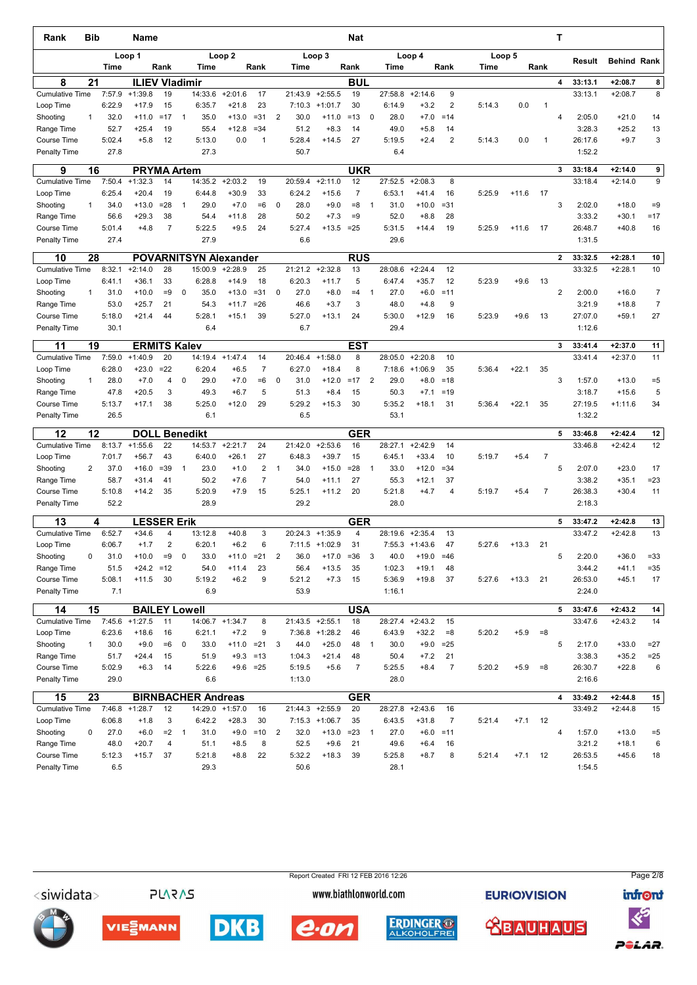| Rank                         | Bib          |                | <b>Name</b>                              |                |                |                              |                   |                |                |                   |                   | Nat                  |                |                  |                    |                |        |         |                | т            |                    |                        |                  |
|------------------------------|--------------|----------------|------------------------------------------|----------------|----------------|------------------------------|-------------------|----------------|----------------|-------------------|-------------------|----------------------|----------------|------------------|--------------------|----------------|--------|---------|----------------|--------------|--------------------|------------------------|------------------|
|                              |              | Time           | Loop 1                                   | Rank           |                | Time                         | Loop <sub>2</sub> | Rank           |                | Time              | Loop 3            | Rank                 |                | Time             | Loop 4             | Rank           | Time   | Loop 5  | Rank           |              | Result             | <b>Behind Rank</b>     |                  |
| 8                            | 21           |                | <b>ILIEV Vladimir</b>                    |                |                |                              |                   |                |                |                   |                   | <b>BUL</b>           |                |                  |                    |                |        |         |                | 4            | 33:13.1            | $+2:08.7$              | 8                |
| <b>Cumulative Time</b>       |              | 7:57.9         | $+1:39.8$                                | 19             |                | 14:33.6                      | $+2:01.6$         | 17             |                | 21:43.9           | $+2:55.5$         | 19                   |                | 27:58.8          | $+2:14.6$          | 9              |        |         |                |              | 33:13.1            | $+2:08.7$              | 8                |
| Loop Time                    |              | 6:22.9         | $+17.9$                                  | 15             |                | 6:35.7                       | $+21.8$           | 23             |                | 7:10.3            | $+1:01.7$         | 30                   |                | 6:14.9           | $+3.2$             | 2              | 5:14.3 | 0.0     | $\overline{1}$ |              |                    |                        |                  |
| Shooting                     | $\mathbf{1}$ | 32.0           | $+11.0$                                  | $=17$          | $\mathbf{1}$   | 35.0                         | $+13.0$           | $= 31$         | $\overline{2}$ | 30.0              | $+11.0$           | $=13$                | 0              | 28.0             | $+7.0$             | $=14$          |        |         |                | 4            | 2:05.0             | $+21.0$                | 14               |
| Range Time                   |              | 52.7           | $+25.4$                                  | 19             |                | 55.4                         | $+12.8$           | $= 34$         |                | 51.2              | $+8.3$            | 14                   |                | 49.0             | $+5.8$             | 14             |        |         |                |              | 3:28.3             | $+25.2$                | 13               |
| <b>Course Time</b>           |              | 5:02.4         | $+5.8$                                   | 12             |                | 5:13.0                       | 0.0               | 1              |                | 5:28.4            | $+14.5$           | 27                   |                | 5:19.5           | $+2.4$             | $\overline{2}$ | 5:14.3 | 0.0     | $\mathbf 1$    |              | 26:17.6            | $+9.7$                 | 3                |
| <b>Penalty Time</b>          |              | 27.8           |                                          |                |                | 27.3                         |                   |                |                | 50.7              |                   |                      |                | 6.4              |                    |                |        |         |                |              | 1:52.2             |                        |                  |
| 9                            | 16           |                | <b>PRYMA Artem</b>                       |                |                |                              |                   |                |                |                   |                   | <b>UKR</b>           |                |                  |                    |                |        |         |                | 3            | 33:18.4            | $+2:14.0$              | 9                |
| <b>Cumulative Time</b>       |              | 7:50.4         | $+1:32.3$                                | 14             |                | 14:35.2                      | $+2:03.2$         | 19             |                | 20:59.4           | $+2:11.0$         | 12<br>$\overline{7}$ |                | 27:52.5          | $+2:08.3$          | 8              |        |         |                |              | 33:18.4            | $+2:14.0$              | 9                |
| Loop Time<br>Shooting        | $\mathbf{1}$ | 6:25.4<br>34.0 | $+20.4$<br>$+13.0$                       | 19<br>$= 28$   | $\mathbf{1}$   | 6:44.8<br>29.0               | $+30.9$<br>$+7.0$ | 33<br>$=6$     | $\mathbf 0$    | 6:24.2<br>28.0    | $+15.6$<br>$+9.0$ | $= 8$                | $\mathbf{1}$   | 6:53.1<br>31.0   | $+41.4$<br>$+10.0$ | 16<br>$= 31$   | 5:25.9 | $+11.6$ | 17             | 3            | 2:02.0             | $+18.0$                | $=9$             |
| Range Time                   |              | 56.6           | $+29.3$                                  | 38             |                | 54.4                         | $+11.8$           | 28             |                | 50.2              | $+7.3$            | $=9$                 |                | 52.0             | $+8.8$             | 28             |        |         |                |              | 3:33.2             | $+30.1$                | $=17$            |
| <b>Course Time</b>           |              | 5:01.4         | $+4.8$                                   | $\overline{7}$ |                | 5:22.5                       | $+9.5$            | 24             |                | 5:27.4            | $+13.5$           | $=25$                |                | 5:31.5           | $+14.4$            | 19             | 5:25.9 | $+11.6$ | 17             |              | 26:48.7            | $+40.8$                | 16               |
| <b>Penalty Time</b>          |              | 27.4           |                                          |                |                | 27.9                         |                   |                |                | 6.6               |                   |                      |                | 29.6             |                    |                |        |         |                |              | 1:31.5             |                        |                  |
| 10                           | 28           |                |                                          |                |                | <b>POVARNITSYN Alexander</b> |                   |                |                |                   |                   | <b>RUS</b>           |                |                  |                    |                |        |         |                | $\mathbf{2}$ | 33:32.5            | $+2:28.1$              | 10               |
| <b>Cumulative Time</b>       |              | 8:32.1         | $+2:14.0$                                | 28             |                | 15:00.9                      | $+2:28.9$         | 25             |                | 21:21.2           | $+2:32.8$         | 13                   |                | 28:08.6          | $+2:24.4$          | 12             |        |         |                |              | 33:32.5            | $+2:28.1$              | 10               |
| Loop Time                    |              | 6:41.1         | $+36.1$                                  | 33             |                | 6:28.8                       | $+14.9$           | 18             |                | 6:20.3            | $+11.7$           | 5                    |                | 6:47.4           | $+35.7$            | 12             | 5:23.9 | $+9.6$  | 13             |              |                    |                        |                  |
| Shooting                     | $\mathbf{1}$ | 31.0           | $+10.0$                                  | $=9$           | $\mathbf 0$    | 35.0                         | $+13.0$           | $= 31$         | 0              | 27.0              | $+8.0$            | $=4$                 | $\mathbf{1}$   | 27.0             | $+6.0$             | $=11$          |        |         |                | 2            | 2:00.0             | $+16.0$                | $\overline{7}$   |
| Range Time                   |              | 53.0           | $+25.7$                                  | 21             |                | 54.3                         | $+11.7$           | $= 26$         |                | 46.6              | $+3.7$            | 3                    |                | 48.0             | $+4.8$             | 9              |        |         |                |              | 3:21.9             | $+18.8$                | $\overline{7}$   |
| <b>Course Time</b>           |              | 5:18.0         | $+21.4$                                  | 44             |                | 5:28.1                       | $+15.1$           | 39             |                | 5:27.0            | $+13.1$           | 24                   |                | 5:30.0           | $+12.9$            | 16             | 5:23.9 | $+9.6$  | 13             |              | 27:07.0            | $+59.1$                | 27               |
| <b>Penalty Time</b>          |              | 30.1           |                                          |                |                | 6.4                          |                   |                |                | 6.7               |                   |                      |                | 29.4             |                    |                |        |         |                |              | 1:12.6             |                        |                  |
| 11                           | 19           |                | <b>ERMITS Kalev</b>                      |                |                |                              |                   |                |                |                   |                   | <b>EST</b>           |                |                  |                    |                |        |         |                | 3            | 33:41.4            | $+2:37.0$              | 11               |
| <b>Cumulative Time</b>       |              | 7:59.0         | $+1:40.9$                                | 20             |                |                              | 14:19.4 +1:47.4   | 14             |                | 20:46.4           | $+1:58.0$         | 8                    |                | 28:05.0          | $+2:20.8$          | 10             |        |         |                |              | 33:41.4            | $+2:37.0$              | 11               |
| Loop Time                    |              | 6:28.0         | $+23.0$                                  | $=22$          |                | 6:20.4                       | $+6.5$            | $\overline{7}$ |                | 6:27.0            | $+18.4$           | 8                    |                | 7:18.6           | $+1:06.9$          | 35             | 5:36.4 | $+22.1$ | 35             |              |                    |                        |                  |
| Shooting                     | $\mathbf{1}$ | 28.0           | $+7.0$                                   | 4              | $\mathbf 0$    | 29.0                         | $+7.0$            | $=6$           | 0              | 31.0              | $+12.0$           | $=17$                | $\overline{2}$ | 29.0             | $+8.0$             | $=18$          |        |         |                | 3            | 1:57.0             | $+13.0$                | $= 5$            |
| Range Time                   |              | 47.8           | $+20.5$                                  | 3              |                | 49.3                         | $+6.7$            | 5<br>29        |                | 51.3              | $+8.4$            | 15                   |                | 50.3             | $+7.1$             | $=19$          |        |         |                |              | 3:18.7             | $+15.6$                | $\sqrt{5}$<br>34 |
| Course Time<br>Penalty Time  |              | 5:13.7<br>26.5 | $+17.1$                                  | 38             |                | 5:25.0<br>6.1                | $+12.0$           |                |                | 5:29.2<br>6.5     | $+15.3$           | 30                   |                | 5:35.2<br>53.1   | $+18.1$            | 31             | 5:36.4 | $+22.1$ | 35             |              | 27:19.5<br>1:32.2  | $+1:11.6$              |                  |
|                              |              |                |                                          |                |                |                              |                   |                |                |                   |                   |                      |                |                  |                    |                |        |         |                |              |                    |                        |                  |
| 12<br><b>Cumulative Time</b> | 12           | 8:13.7         | <b>DOLL</b><br>$+1:55.6$                 | 22             |                | <b>Benedikt</b><br>14:53.7   | $+2:21.7$         | 24             |                | 21:42.0           | $+2:53.6$         | <b>GER</b><br>16     |                | 28:27.1          | $+2:42.9$          | 14             |        |         |                | 5            | 33:46.8<br>33:46.8 | $+2:42.4$<br>$+2:42.4$ | 12<br>12         |
| Loop Time                    |              | 7:01.7         | $+56.7$                                  | 43             |                | 6:40.0                       | $+26.1$           | 27             |                | 6:48.3            | $+39.7$           | 15                   |                | 6:45.1           | $+33.4$            | 10             | 5:19.7 | $+5.4$  | $\overline{7}$ |              |                    |                        |                  |
| Shooting                     | 2            | 37.0           | $+16.0$                                  | $= 39$         | $\mathbf{1}$   | 23.0                         | $+1.0$            | 2              | $\mathbf{1}$   | 34.0              | $+15.0$           | $= 28$               | $\mathbf{1}$   | 33.0             | $+12.0$            | $= 34$         |        |         |                | 5            | 2:07.0             | $+23.0$                | 17               |
| Range Time                   |              | 58.7           | $+31.4$                                  | 41             |                | 50.2                         | $+7.6$            | $\overline{7}$ |                | 54.0              | $+11.1$           | 27                   |                | 55.3             | $+12.1$            | 37             |        |         |                |              | 3:38.2             | $+35.1$                | $= 23$           |
| <b>Course Time</b>           |              | 5:10.8         | $+14.2$                                  | 35             |                | 5:20.9                       | $+7.9$            | 15             |                | 5:25.1            | $+11.2$           | 20                   |                | 5:21.8           | $+4.7$             | 4              | 5:19.7 | $+5.4$  | $\overline{7}$ |              | 26:38.3            | $+30.4$                | 11               |
| Penalty Time                 |              | 52.2           |                                          |                |                | 28.9                         |                   |                |                | 29.2              |                   |                      |                | 28.0             |                    |                |        |         |                |              | 2:18.3             |                        |                  |
| 13                           |              | 4              | <b>LESSER Erik</b>                       |                |                |                              |                   |                |                |                   |                   | <b>GER</b>           |                |                  |                    |                |        |         |                | 5            | 33:47.2            | $+2:42.8$              | 13               |
| <b>Cumulative Time</b>       |              | 6:52.7         | $+34.6$                                  | 4              |                | 13:12.8                      | $+40.8$           | 3              |                | 20:24.3           | $+1:35.9$         | $\overline{4}$       |                | 28:19.6          | $+2:35.4$          | 13             |        |         |                |              | 33:47.2            | $+2:42.8$              | 13               |
| Loop Time                    |              | 6:06.7         | $+1.7$                                   | $\overline{2}$ |                | 6:20.1                       | $+6.2$            | 6              |                |                   | $7:11.5$ +1:02.9  | 31                   |                |                  | $7:55.3$ +1:43.6   | 47             | 5:27.6 | $+13.3$ | 21             |              |                    |                        |                  |
| Shooting                     | 0            | 31.0           | $+10.0$                                  | $=9$           | 0              | 33.0                         | $+11.0$           | $= 21$         | $\overline{c}$ | 36.0              | $+17.0$           | $= 36$               | 3              | 40.0             | $+19.0$            | $=46$          |        |         |                | 5            | 2:20.0             | $+36.0$                | $= 33$           |
| Range Time                   |              | 51.5           | $+24.2 = 12$                             |                |                | 54.0                         | $+11.4$           | 23             |                | 56.4              | $+13.5$           | 35                   |                | 1:02.3           | $+19.1$            | 48             |        |         |                |              | 3:44.2             | $+41.1$                | $= 35$           |
| Course Time<br>Penalty Time  |              | 5:08.1<br>7.1  | $+11.5$                                  | 30             |                | 5:19.2<br>6.9                | $+6.2$            | 9              |                | 5:21.2<br>53.9    | $+7.3$            | 15                   |                | 5:36.9<br>1:16.1 | $+19.8$            | 37             | 5:27.6 | $+13.3$ | 21             |              | 26:53.0<br>2:24.0  | $+45.1$                | 17               |
|                              |              |                |                                          |                |                |                              |                   |                |                |                   |                   |                      |                |                  |                    |                |        |         |                |              |                    |                        |                  |
| 14<br><b>Cumulative Time</b> | 15           |                | <b>BAILEY Lowell</b><br>$7:45.6$ +1:27.5 | 11             |                |                              | 14:06.7 +1:34.7   | 8              |                | $21:43.5$ +2:55.1 |                   | <b>USA</b><br>18     |                | 28:27.4          | $+2:43.2$          | 15             |        |         |                | 5            | 33:47.6<br>33:47.6 | $+2:43.2$<br>$+2:43.2$ | 14<br>14         |
| Loop Time                    |              | 6:23.6         | $+18.6$                                  | 16             |                | 6:21.1                       | $+7.2$            | 9              |                |                   | $7:36.8$ +1:28.2  | 46                   |                | 6:43.9           | $+32.2$            | $= 8$          | 5:20.2 | $+5.9$  | $= 8$          |              |                    |                        |                  |
| Shooting                     | $\mathbf{1}$ | 30.0           | $+9.0$                                   | $=6$           | 0              | 33.0                         | $+11.0 = 21$      |                | 3              | 44.0              | $+25.0$           | 48                   | $\mathbf{1}$   | 30.0             | $+9.0$             | $= 25$         |        |         |                | 5            | 2:17.0             | $+33.0$                | $=27$            |
| Range Time                   |              | 51.7           | $+24.4$                                  | 15             |                | 51.9                         |                   | $+9.3 = 13$    |                | 1:04.3            | $+21.4$           | 48                   |                | 50.4             | $+7.2$             | 21             |        |         |                |              | 3:38.3             | $+35.2$                | $=25$            |
| Course Time                  |              | 5:02.9         | $+6.3$                                   | 14             |                | 5:22.6                       |                   | $+9.6 = 25$    |                | 5:19.5            | $+5.6$            | 7                    |                | 5:25.5           | $+8.4$             | $\overline{7}$ | 5:20.2 | $+5.9$  | $= 8$          |              | 26:30.7            | $+22.8$                | 6                |
| Penalty Time                 |              | 29.0           |                                          |                |                | 6.6                          |                   |                |                | 1:13.0            |                   |                      |                | 28.0             |                    |                |        |         |                |              | 2:16.6             |                        |                  |
| 15                           | 23           |                |                                          |                |                | <b>BIRNBACHER Andreas</b>    |                   |                |                |                   |                   | <b>GER</b>           |                |                  |                    |                |        |         |                | 4            | 33:49.2            | $+2:44.8$              | 15               |
| <b>Cumulative Time</b>       |              | 7:46.8         | $+1:28.7$                                | 12             |                | 14:29.0                      | $+1:57.0$         | 16             |                |                   | 21:44.3 +2:55.9   | 20                   |                | 28:27.8          | $+2:43.6$          | 16             |        |         |                |              | 33:49.2            | $+2:44.8$              | 15               |
| Loop Time                    |              | 6:06.8         | $+1.8$                                   | 3              |                | 6:42.2                       | $+28.3$           | 30             |                |                   | $7:15.3$ +1:06.7  | 35                   |                | 6:43.5           | $+31.8$            | $\overline{7}$ | 5:21.4 | $+7.1$  | 12             |              |                    |                        |                  |
| Shooting                     | 0            | 27.0           | $+6.0$                                   | $=2$           | $\overline{1}$ | 31.0                         | $+9.0$            | $=10$          | $\overline{2}$ | 32.0              | $+13.0$           | $= 23$               | 1              | 27.0             | $+6.0$             | $=11$          |        |         |                | 4            | 1:57.0             | $+13.0$                | $=5$             |
| Range Time                   |              | 48.0           | $+20.7$                                  | 4              |                | 51.1                         | $+8.5$            | 8              |                | 52.5              | $+9.6$            | 21                   |                | 49.6             | $+6.4$             | 16             |        |         |                |              | 3:21.2             | $+18.1$                | 6                |
| Course Time<br>Penalty Time  |              | 5:12.3<br>6.5  | $+15.7$                                  | 37             |                | 5:21.8<br>29.3               | $+8.8$            | 22             |                | 5:32.2<br>50.6    | $+18.3$           | 39                   |                | 5:25.8<br>28.1   | $+8.7$             | 8              | 5:21.4 | $+7.1$  | 12             |              | 26:53.5<br>1:54.5  | $+45.6$                | 18               |
|                              |              |                |                                          |                |                |                              |                   |                |                |                   |                   |                      |                |                  |                    |                |        |         |                |              |                    |                        |                  |



POLAR.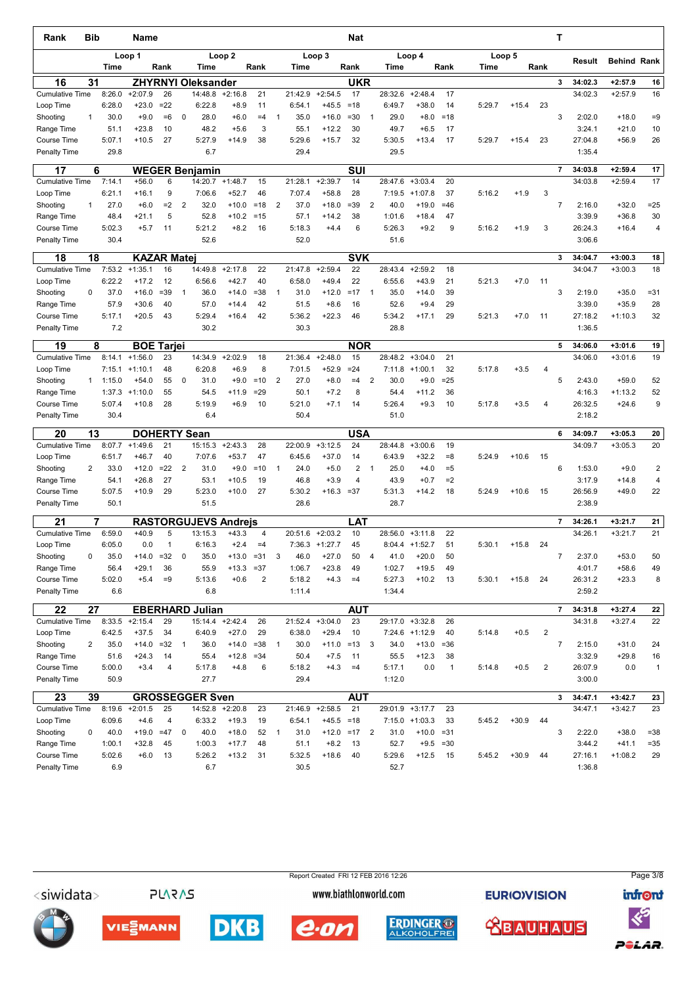| Rank                                      | <b>Bib</b> |                  | Name                 |              |                |                             |                     |                          |                |                   |                      | Nat              |              |                   |                      |              |        |         |                | т              |                    |                        |                      |
|-------------------------------------------|------------|------------------|----------------------|--------------|----------------|-----------------------------|---------------------|--------------------------|----------------|-------------------|----------------------|------------------|--------------|-------------------|----------------------|--------------|--------|---------|----------------|----------------|--------------------|------------------------|----------------------|
|                                           |            |                  | Loop 1               |              |                |                             | Loop <sub>2</sub>   |                          |                |                   | Loop 3               |                  |              |                   | Loop 4               |              |        | Loop 5  |                |                | Result             | <b>Behind Rank</b>     |                      |
|                                           |            | Time             |                      | Rank         |                | Time                        |                     | Rank                     |                | Time              |                      | Rank             |              | Time              |                      | Rank         | Time   |         | Rank           |                |                    |                        |                      |
| 16                                        | 31         |                  |                      |              |                | <b>ZHYRNYI Oleksander</b>   |                     |                          |                |                   |                      | <b>UKR</b>       |              |                   |                      |              |        |         |                | 3              | 34:02.3            | $+2:57.9$              | 16                   |
| <b>Cumulative Time</b>                    |            | 8:26.0<br>6:28.0 | $+2:07.9$<br>$+23.0$ | 26<br>$=22$  |                | 14:48.8<br>6:22.8           | $+2:16.8$<br>$+8.9$ | 21<br>11                 |                | 21:42.9<br>6:54.1 | $+2:54.5$<br>$+45.5$ | 17<br>$=18$      |              | 28:32.6<br>6:49.7 | $+2:48.4$<br>$+38.0$ | 17<br>14     | 5:29.7 | $+15.4$ | 23             |                | 34:02.3            | $+2:57.9$              | 16                   |
| Loop Time<br>Shooting                     | 1          | 30.0             | $+9.0$               | $=6$         | 0              | 28.0                        | $+6.0$              | $=4$                     | $\mathbf{1}$   | 35.0              | $+16.0$              | $= 30$           | $\mathbf{1}$ | 29.0              | $+8.0$               | $=18$        |        |         |                | 3              | 2:02.0             | $+18.0$                | $=9$                 |
| Range Time                                |            | 51.1             | $+23.8$              | 10           |                | 48.2                        | $+5.6$              | 3                        |                | 55.1              | $+12.2$              | 30               |              | 49.7              | $+6.5$               | 17           |        |         |                |                | 3:24.1             | $+21.0$                | 10                   |
| <b>Course Time</b>                        |            | 5:07.1           | $+10.5$              | 27           |                | 5:27.9                      | $+14.9$             | 38                       |                | 5:29.6            | $+15.7$              | 32               |              | 5:30.5            | $+13.4$              | 17           | 5:29.7 | $+15.4$ | 23             |                | 27:04.8            | $+56.9$                | 26                   |
| <b>Penalty Time</b>                       |            | 29.8             |                      |              |                | 6.7                         |                     |                          |                | 29.4              |                      |                  |              | 29.5              |                      |              |        |         |                |                | 1:35.4             |                        |                      |
| 17                                        | 6          |                  |                      |              |                | <b>WEGER Benjamin</b>       |                     |                          |                |                   |                      | <b>SUI</b>       |              |                   |                      |              |        |         |                | $\overline{7}$ | 34:03.8            | $+2:59.4$              | 17                   |
| <b>Cumulative Time</b>                    |            | 7:14.1           | $+56.0$              | 6            |                | 14:20.7                     | $+1:48.7$           | 15                       |                | 21:28.1           | $+2:39.7$            | 14               |              | 28:47.6           | $+3:03.4$            | 20           |        |         |                |                | 34:03.8            | $+2:59.4$              | 17                   |
| Loop Time                                 |            | 6:21.1           | $+16.1$              | 9            |                | 7:06.6                      | $+52.7$             | 46                       |                | 7:07.4            | $+58.8$              | 28               |              | 7:19.5            | $+1:07.8$            | 37           | 5:16.2 | $+1.9$  | 3              |                |                    |                        |                      |
| Shooting                                  | 1          | 27.0             | $+6.0$               | $=2$         | $\overline{2}$ | 32.0                        | $+10.0$             | $=18$                    | $\overline{2}$ | 37.0              | +18.0                | $= 39$           | 2            | 40.0              | $+19.0$              | $=46$        |        |         |                | $\overline{7}$ | 2:16.0             | $+32.0$                | $= 25$               |
| Range Time                                |            | 48.4             | $+21.1$              | 5            |                | 52.8                        | $+10.2$             | $=15$                    |                | 57.1              | $+14.2$              | 38               |              | 1:01.6            | $+18.4$              | 47<br>9      |        |         |                |                | 3:39.9<br>26:24.3  | $+36.8$                | 30<br>$\overline{4}$ |
| <b>Course Time</b><br><b>Penalty Time</b> |            | 5:02.3<br>30.4   | $+5.7$               | 11           |                | 5:21.2<br>52.6              | $+8.2$              | 16                       |                | 5:18.3<br>52.0    | $+4.4$               | 6                |              | 5:26.3<br>51.6    | $+9.2$               |              | 5:16.2 | $+1.9$  | 3              |                | 3:06.6             | $+16.4$                |                      |
|                                           |            |                  |                      |              |                |                             |                     |                          |                |                   |                      |                  |              |                   |                      |              |        |         |                |                |                    |                        |                      |
| 18                                        | 18         |                  | <b>KAZAR Matej</b>   |              |                |                             |                     |                          |                |                   |                      | <b>SVK</b>       |              |                   |                      |              |        |         |                | 3              | 34:04.7            | $+3:00.3$              | 18                   |
| <b>Cumulative Time</b>                    |            | 7:53.2           | $+1:35.1$            | 16           |                | 14:49.8                     | $+2:17.8$           | 22                       |                | 21:47.8           | $+2:59.4$            | 22               |              | 28:43.4           | $+2:59.2$            | 18           |        |         |                |                | 34:04.7            | $+3:00.3$              | 18                   |
| Loop Time                                 |            | 6:22.2           | $+17.2$              | 12           |                | 6:56.6                      | $+42.7$             | 40                       |                | 6:58.0            | $+49.4$              | 22               |              | 6:55.6            | $+43.9$              | 21           | 5:21.3 | $+7.0$  | 11             |                |                    |                        |                      |
| Shooting<br>Range Time                    | 0          | 37.0<br>57.9     | $+16.0$<br>$+30.6$   | $= 39$<br>40 | $\mathbf{1}$   | 36.0<br>57.0                | $+14.0$<br>$+14.4$  | $= 38$<br>42             | 1              | 31.0<br>51.5      | $+12.0$<br>$+8.6$    | $=17$<br>16      | $\mathbf{1}$ | 35.0<br>52.6      | $+14.0$<br>$+9.4$    | 39<br>29     |        |         |                | 3              | 2:19.0<br>3:39.0   | $+35.0$<br>$+35.9$     | $= 31$<br>28         |
| <b>Course Time</b>                        |            | 5:17.1           | $+20.5$              | 43           |                | 5:29.4                      | $+16.4$             | 42                       |                | 5:36.2            | $+22.3$              | 46               |              | 5:34.2            | $+17.1$              | 29           | 5:21.3 | $+7.0$  | 11             |                | 27:18.2            | $+1:10.3$              | 32                   |
| <b>Penalty Time</b>                       |            | 7.2              |                      |              |                | 30.2                        |                     |                          |                | 30.3              |                      |                  |              | 28.8              |                      |              |        |         |                |                | 1:36.5             |                        |                      |
| 19                                        | 8          |                  | <b>BOE Tarjei</b>    |              |                |                             |                     |                          |                |                   |                      | <b>NOR</b>       |              |                   |                      |              |        |         |                | 5              | 34:06.0            | $+3:01.6$              | 19                   |
| <b>Cumulative Time</b>                    |            | 8:14.1           | $+1:56.0$            | 23           |                | 14:34.9                     | $+2:02.9$           | 18                       |                | 21:36.4           | $+2:48.0$            | 15               |              | 28:48.2           | $+3:04.0$            | 21           |        |         |                |                | 34:06.0            | $+3:01.6$              | 19                   |
| Loop Time                                 |            | 7:15.1           | $+1:10.1$            | 48           |                | 6:20.8                      | $+6.9$              | 8                        |                | 7:01.5            | $+52.9$              | $= 24$           |              | 7:11.8            | $+1:00.1$            | 32           | 5:17.8 | $+3.5$  | $\overline{4}$ |                |                    |                        |                      |
| Shooting                                  | 1          | 1:15.0           | $+54.0$              | 55           | 0              | 31.0                        | $+9.0$              | $=10$                    | $\overline{2}$ | 27.0              | $+8.0$               | $=4$             | 2            | 30.0              | $+9.0$               | $= 25$       |        |         |                | 5              | 2:43.0             | $+59.0$                | 52                   |
| Range Time                                |            | 1:37.3           | $+1:10.0$            | 55           |                | 54.5                        | $+11.9$             | $= 29$                   |                | 50.1              | $+7.2$               | 8                |              | 54.4              | $+11.2$              | 36           |        |         |                |                | 4:16.3             | $+1:13.2$              | 52                   |
| <b>Course Time</b>                        |            | 5:07.4           | $+10.8$              | 28           |                | 5:19.9                      | $+6.9$              | 10                       |                | 5:21.0            | $+7.1$               | 14               |              | 5:26.4            | $+9.3$               | 10           | 5:17.8 | $+3.5$  | $\overline{4}$ |                | 26:32.5            | $+24.6$                | 9                    |
| <b>Penalty Time</b>                       |            | 30.4             |                      |              |                | 6.4                         |                     |                          |                | 50.4              |                      |                  |              | 51.0              |                      |              |        |         |                |                | 2:18.2             |                        |                      |
| 20                                        | 13         |                  | <b>DOHERTY Sean</b>  |              |                |                             |                     |                          |                |                   |                      | <b>USA</b>       |              |                   |                      |              |        |         |                | 6              | 34:09.7            | $+3:05.3$              | 20                   |
| <b>Cumulative Time</b>                    |            | 8:07.7           | $+1:49.6$            | 21           |                | 15:15.3                     | $+2:43.3$           | 28                       |                | 22:00.9           | $+3:12.5$            | 24               |              | 28:44.8           | $+3:00.6$            | 19           |        |         |                |                | 34:09.7            | $+3:05.3$              | 20                   |
| Loop Time                                 |            | 6:51.7           | $+46.7$              | 40           |                | 7:07.6                      | $+53.7$             | 47                       |                | 6:45.6            | $+37.0$              | 14               |              | 6:43.9            | $+32.2$              | $= 8$        | 5:24.9 | $+10.6$ | 15             |                |                    |                        |                      |
| Shooting                                  | 2          | 33.0             | $+12.0$              | $=22$        | 2              | 31.0                        | $+9.0$              | $=10$                    | 1              | 24.0              | $+5.0$               | 2                | $\mathbf{1}$ | 25.0              | $+4.0$               | $= 5$        |        |         |                | 6              | 1:53.0             | $+9.0$                 | $\overline{c}$       |
| Range Time                                |            | 54.1             | $+26.8$              | 27           |                | 53.1                        | $+10.5$             | 19                       |                | 46.8              | $+3.9$               | 4                |              | 43.9              | $+0.7$               | $=2$         |        |         |                |                | 3:17.9             | $+14.8$                | 4                    |
| <b>Course Time</b>                        |            | 5:07.5           | $+10.9$              | 29           |                | 5:23.0                      | $+10.0$             | 27                       |                | 5:30.2            | $+16.3$              | $= 37$           |              | 5:31.3            | $+14.2$              | 18           | 5:24.9 | $+10.6$ | 15             |                | 26:56.9            | $+49.0$                | 22                   |
| <b>Penalty Time</b>                       |            | 50.1             |                      |              |                | 51.5                        |                     |                          |                | 28.6              |                      |                  |              | 28.7              |                      |              |        |         |                |                | 2:38.9             |                        |                      |
| 21                                        | 7          |                  |                      |              |                | <b>RASTORGUJEVS Andreis</b> |                     |                          |                |                   |                      | LAT              |              |                   |                      |              |        |         |                | $\overline{7}$ | 34:26.1            | $+3:21.7$              | 21                   |
| <b>Cumulative Time</b>                    |            | 6:59.0           | $+40.9$              | 5            |                | 13:15.3                     | $+43.3$             | 4                        |                | 20:51.6           | $+2:03.2$            | 10               |              | 28:56.0           | $+3:11.8$            | 22           |        |         |                |                | 34:26.1            | $+3:21.7$              | 21                   |
| Loop Time                                 |            | 6:05.0           | 0.0                  | $\mathbf{1}$ |                | 6:16.3                      | $+2.4$              | $=4$                     |                |                   | $7:36.3$ +1:27.7     | 45               |              |                   | $8:04.4$ +1:52.7     | 51           | 5:30.1 | $+15.8$ | 24             |                |                    |                        |                      |
| Shooting                                  | 0          | 35.0             | $+14.0$              | $= 32$       | 0              | 35.0                        | $+13.0$             | $= 31$                   | 3              | 46.0              | $+27.0$              | 50               | 4            | 41.0              | $+20.0$              | 50           |        |         |                | $\overline{7}$ | 2:37.0             | $+53.0$                | 50                   |
| Range Time                                |            | 56.4<br>5:02.0   | $+29.1$              | 36           |                | 55.9<br>5:13.6              | $+13.3$             | $= 37$<br>$\overline{2}$ |                | 1:06.7            | $+23.8$              | 49               |              | 1:02.7<br>5:27.3  | $+19.5$              | 49           |        |         |                |                | 4:01.7             | $+58.6$                | 49                   |
| Course Time<br>Penalty Time               |            | 6.6              | $+5.4$               | $=9$         |                | 6.8                         | $+0.6$              |                          |                | 5:18.2<br>1:11.4  | $+4.3$               | $=4$             |              | 1:34.4            | $+10.2$              | 13           | 5:30.1 | $+15.8$ | 24             |                | 26:31.2<br>2:59.2  | $+23.3$                | 8                    |
|                                           |            |                  |                      |              |                |                             |                     |                          |                |                   |                      |                  |              |                   |                      |              |        |         |                |                |                    |                        |                      |
| 22<br><b>Cumulative Time</b>              | 27         |                  | $8:33.5$ +2:15.4     | 29           |                | <b>EBERHARD Julian</b>      | 15:14.4 +2:42.4     | 26                       |                | 21:52.4           | $+3:04.0$            | <b>AUT</b><br>23 |              |                   | 29:17.0 +3:32.8      | 26           |        |         |                | 7              | 34:31.8<br>34:31.8 | $+3:27.4$<br>$+3:27.4$ | 22<br>22             |
| Loop Time                                 |            | 6:42.5           | $+37.5$              | 34           |                | 6:40.9                      | $+27.0$             | 29                       |                | 6:38.0            | $+29.4$              | 10               |              |                   | 7:24.6 +1:12.9       | 40           | 5:14.8 | $+0.5$  | $\overline{2}$ |                |                    |                        |                      |
| Shooting                                  | 2          | 35.0             | $+14.0$              | $=32$        | $\overline{1}$ | 36.0                        | $+14.0$             | $=38$                    | $\mathbf{1}$   | 30.0              | $+11.0$              | $=13$            | 3            | 34.0              | $+13.0$              | $=36$        |        |         |                | $\overline{7}$ | 2:15.0             | $+31.0$                | 24                   |
| Range Time                                |            | 51.6             | $+24.3$              | 14           |                | 55.4                        | $+12.8$             | $= 34$                   |                | 50.4              | $+7.5$               | 11               |              | 55.5              | $+12.3$              | 38           |        |         |                |                | 3:32.9             | $+29.8$                | 16                   |
| Course Time                               |            | 5:00.0           | $+3.4$               | 4            |                | 5:17.8                      | $+4.8$              | 6                        |                | 5:18.2            | $+4.3$               | $=4$             |              | 5:17.1            | 0.0                  | $\mathbf{1}$ | 5:14.8 | $+0.5$  | $\overline{2}$ |                | 26:07.9            | 0.0                    | $\mathbf{1}$         |
| Penalty Time                              |            | 50.9             |                      |              |                | 27.7                        |                     |                          |                | 29.4              |                      |                  |              | 1:12.0            |                      |              |        |         |                |                | 3:00.0             |                        |                      |
| 23                                        | 39         |                  |                      |              |                | <b>GROSSEGGER Sven</b>      |                     |                          |                |                   |                      | <b>AUT</b>       |              |                   |                      |              |        |         |                | 3              | 34:47.1            | $+3:42.7$              | 23                   |
| <b>Cumulative Time</b>                    |            | 8:19.6           | $+2:01.5$            | 25           |                | 14:52.8                     | $+2:20.8$           | 23                       |                | 21:46.9           | $+2:58.5$            | 21               |              |                   | 29:01.9 +3:17.7      | 23           |        |         |                |                | 34:47.1            | $+3:42.7$              | 23                   |
| Loop Time                                 |            | 6:09.6           | $+4.6$               | 4            |                | 6:33.2                      | $+19.3$             | 19                       |                | 6:54.1            | $+45.5$              | $=18$            |              |                   | $7:15.0$ +1:03.3     | 33           | 5:45.2 | $+30.9$ | 44             |                |                    |                        |                      |
| Shooting                                  | 0          | 40.0             | $+19.0$              | $=47$        | 0              | 40.0                        | $+18.0$             | 52                       | $\overline{1}$ | 31.0              | $+12.0$              | $=17$            | 2            | 31.0              | $+10.0$              | $= 31$       |        |         |                | 3              | 2:22.0             | $+38.0$                | $= 38$               |
| Range Time                                |            | 1:00.1           | $+32.8$              | 45           |                | 1:00.3                      | $+17.7$             | 48                       |                | 51.1              | $+8.2$               | 13               |              | 52.7              | $+9.5$               | $= 30$       |        |         |                |                | 3:44.2             | $+41.1$                | $= 35$               |
| Course Time                               |            | 5:02.6           | $+6.0$               | 13           |                | 5:26.2                      | $+13.2$             | 31                       |                | 5:32.5            | $+18.6$              | 40               |              | 5:29.6            | $+12.5$              | 15           | 5:45.2 | $+30.9$ | 44             |                | 27:16.1            | $+1:08.2$              | 29                   |
| Penalty Time                              |            | 6.9              |                      |              |                | 6.7                         |                     |                          |                | 30.5              |                      |                  |              | 52.7              |                      |              |        |         |                |                | 1:36.8             |                        |                      |

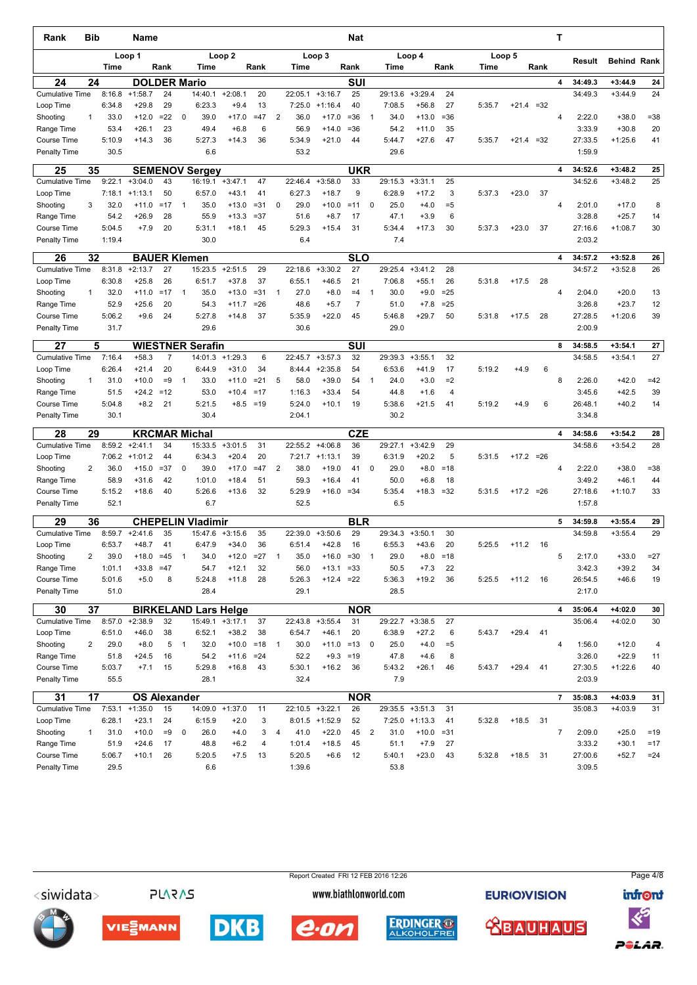| Rank                                | Bib          |                  | Name                   |            |                |                             |                      |             |          |                |                   |                      | Nat             |                |                   |                      |              |        |              |       | т              |                   |                    |                |
|-------------------------------------|--------------|------------------|------------------------|------------|----------------|-----------------------------|----------------------|-------------|----------|----------------|-------------------|----------------------|-----------------|----------------|-------------------|----------------------|--------------|--------|--------------|-------|----------------|-------------------|--------------------|----------------|
|                                     |              | <b>Time</b>      | Loop 1                 | Rank       |                | Time                        | Loop <sub>2</sub>    | Rank        |          |                | Time              | Loop 3               | Rank            |                | Time              | Loop 4               | Rank         | Time   | Loop 5       | Rank  |                | Result            | <b>Behind Rank</b> |                |
| 24                                  | 24           |                  | <b>DOLDER Mario</b>    |            |                |                             |                      |             |          |                |                   |                      | <b>SUI</b>      |                |                   |                      |              |        |              |       | 4              | 34:49.3           | $+3:44.9$          | 24             |
| <b>Cumulative Time</b>              |              | 8:16.8           | $+1:58.7$              | 24         |                | 14:40.1                     | $+2:08.1$            |             | 20       |                | 22:05.1           | $+3:16.7$            | 25              |                | 29:13.6           | $+3:29.4$            | 24           |        |              |       |                | 34:49.3           | $+3:44.9$          | 24             |
| Loop Time                           |              | 6:34.8           | $+29.8$                | 29         |                | 6:23.3                      | $+9.4$               |             | 13       |                | 7:25.0            | $+1:16.4$            | 40              |                | 7:08.5            | $+56.8$              | 27           | 5:35.7 | $+21.4 = 32$ |       |                |                   |                    |                |
| Shooting                            | 1            | 33.0             | $+12.0$                | $= 22$     | 0              | 39.0                        | $+17.0$              | $=47$       |          | $\overline{2}$ | 36.0              | $+17.0$              | $= 36$          | 1              | 34.0              | $+13.0$              | $= 36$       |        |              |       | $\overline{4}$ | 2:22.0            | $+38.0$            | $= 38$         |
| Range Time                          |              | 53.4             | $+26.1$                | 23         |                | 49.4                        | $+6.8$               |             | 6        |                | 56.9              | $+14.0$              | $= 36$          |                | 54.2              | $+11.0$              | 35           |        |              |       |                | 3:33.9            | $+30.8$            | 20             |
| <b>Course Time</b>                  |              | 5:10.9           | $+14.3$                | 36         |                | 5:27.3                      | $+14.3$              |             | 36       |                | 5:34.9            | $+21.0$              | 44              |                | 5:44.7            | $+27.6$              | 47           | 5:35.7 | +21.4        | $=32$ |                | 27:33.5           | $+1:25.6$          | 41             |
| <b>Penalty Time</b>                 |              | 30.5             |                        |            |                | 6.6                         |                      |             |          |                | 53.2              |                      |                 |                | 29.6              |                      |              |        |              |       |                | 1:59.9            |                    |                |
| 25                                  | 35           |                  |                        |            |                | <b>SEMENOV Sergey</b>       |                      |             |          |                |                   |                      | <b>UKR</b>      |                |                   |                      |              |        |              |       | 4              | 34:52.6           | $+3:48.2$          | 25             |
| <b>Cumulative Time</b><br>Loop Time |              | 9:22.1<br>7:18.1 | $+3:04.0$<br>$+1:13.1$ | 43<br>50   |                | 16:19.1<br>6:57.0           | $+3:47.1$<br>$+43.1$ |             | 47<br>41 |                | 22:46.4<br>6:27.3 | $+3:58.0$<br>$+18.7$ | 33<br>9         |                | 29:15.3<br>6:28.9 | $+3:31.1$<br>$+17.2$ | 25<br>3      | 5:37.3 | $+23.0$      | 37    |                | 34:52.6           | $+3:48.2$          | 25             |
| Shooting                            | 3            | 32.0             | $+11.0$                | $=17$      | $\mathbf{1}$   | 35.0                        | $+13.0$              | $= 31$      |          | $\mathbf 0$    | 29.0              | $+10.0$              | $=11$           | 0              | 25.0              | $+4.0$               | $= 5$        |        |              |       | 4              | 2:01.0            | $+17.0$            | 8              |
| Range Time                          |              | 54.2             | $+26.9$                | 28         |                | 55.9                        | $+13.3$              | $= 37$      |          |                | 51.6              | $+8.7$               | 17              |                | 47.1              | $+3.9$               | 6            |        |              |       |                | 3:28.8            | $+25.7$            | 14             |
| Course Time                         |              | 5:04.5           | $+7.9$                 | 20         |                | 5:31.1                      | $+18.1$              |             | 45       |                | 5:29.3            | $+15.4$              | 31              |                | 5:34.4            | $+17.3$              | 30           | 5:37.3 | $+23.0$      | 37    |                | 27:16.6           | $+1:08.7$          | 30             |
| <b>Penalty Time</b>                 |              | 1:19.4           |                        |            |                | 30.0                        |                      |             |          |                | 6.4               |                      |                 |                | 7.4               |                      |              |        |              |       |                | 2:03.2            |                    |                |
| 26                                  | 32           |                  | <b>BAUER Klemen</b>    |            |                |                             |                      |             |          |                |                   |                      | <b>SLO</b>      |                |                   |                      |              |        |              |       | 4              | 34:57.2           | $+3:52.8$          | 26             |
| <b>Cumulative Time</b>              |              | 8:31.8           | $+2:13.7$              | 27         |                | 15:23.5                     | $+2:51.5$            |             | 29       |                | 22:18.6           | $+3:30.2$            | 27              |                | 29:25.4           | $+3:41.2$            | 28           |        |              |       |                | 34:57.2           | $+3:52.8$          | 26             |
| Loop Time                           |              | 6:30.8           | $+25.8$                | 26         |                | 6:51.7                      | $+37.8$              |             | 37       |                | 6:55.1            | $+46.5$              | 21              |                | 7:06.8            | $+55.1$              | 26           | 5:31.8 | $+17.5$      | 28    |                |                   |                    |                |
| Shooting                            | $\mathbf{1}$ | 32.0             | $+11.0$                | $=17$      | $\mathbf 1$    | 35.0                        | $+13.0$              | $= 31$      |          | $\mathbf{1}$   | 27.0              | $+8.0$               | $=4$            | $\mathbf{1}$   | 30.0              | $+9.0$               | $= 25$       |        |              |       | 4              | 2:04.0            | $+20.0$            | 13             |
| Range Time                          |              | 52.9             | $+25.6$                | 20         |                | 54.3                        | $+11.7$              | $= 26$      |          |                | 48.6              | $+5.7$               | $\overline{7}$  |                | 51.0              | $+7.8$               | $= 25$       |        |              |       |                | 3:26.8            | $+23.7$            | 12             |
| Course Time                         |              | 5:06.2           | $+9.6$                 | 24         |                | 5:27.8                      | $+14.8$              |             | 37       |                | 5:35.9            | $+22.0$              | 45              |                | 5:46.8            | $+29.7$              | 50           | 5:31.8 | $+17.5$      | 28    |                | 27:28.5           | $+1:20.6$          | 39             |
| <b>Penalty Time</b>                 |              | 31.7             |                        |            |                | 29.6                        |                      |             |          |                | 30.6              |                      |                 |                | 29.0              |                      |              |        |              |       |                | 2:00.9            |                    |                |
| 27                                  | 5            |                  |                        |            |                | <b>WIESTNER Serafin</b>     |                      |             |          |                |                   |                      | SUI             |                |                   |                      |              |        |              |       | 8              | 34:58.5           | $+3:54.1$          | 27             |
| <b>Cumulative Time</b>              |              | 7:16.4           | $+58.3$                | 7          |                | 14:01.3                     | $+1:29.3$            |             | 6        |                | 22:45.7           | $+3:57.3$            | 32              |                | 29:39.3           | $+3:55.1$            | 32           |        |              |       |                | 34:58.5           | $+3:54.1$          | 27             |
| Loop Time                           | $\mathbf{1}$ | 6:26.4<br>31.0   | $+21.4$<br>$+10.0$     | 20<br>$=9$ | $\mathbf{1}$   | 6:44.9<br>33.0              | $+31.0$<br>$+11.0$   | $= 21$      | 34       | 5              | 8:44.4<br>58.0    | $+2:35.8$<br>$+39.0$ | 54<br>54        | $\mathbf{1}$   | 6:53.6<br>24.0    | $+41.9$<br>$+3.0$    | 17<br>$=2$   | 5:19.2 | $+4.9$       | 6     | 8              | 2:26.0            | $+42.0$            | $=42$          |
| Shooting<br>Range Time              |              | 51.5             | $+24.2$                | $=12$      |                | 53.0                        | $+10.4$              | $=17$       |          |                | 1:16.3            | $+33.4$              | 54              |                | 44.8              | $+1.6$               | 4            |        |              |       |                | 3:45.6            | $+42.5$            | 39             |
| <b>Course Time</b>                  |              | 5:04.8           | $+8.2$                 | 21         |                | 5:21.5                      |                      | $+8.5 = 19$ |          |                | 5:24.0            | $+10.1$              | 19              |                | 5:38.6            | $+21.5$              | 41           | 5:19.2 | $+4.9$       | 6     |                | 26:48.1           | $+40.2$            | 14             |
| Penalty Time                        |              | 30.1             |                        |            |                | 30.4                        |                      |             |          |                | 2:04.1            |                      |                 |                | 30.2              |                      |              |        |              |       |                | 3:34.8            |                    |                |
| 28                                  | 29           |                  |                        |            |                | <b>KRCMAR Michal</b>        |                      |             |          |                |                   |                      | <b>CZE</b>      |                |                   |                      |              |        |              |       | 4              | 34:58.6           | $+3:54.2$          | 28             |
| <b>Cumulative Time</b>              |              | 8:59.2           | $+2:41.1$              | 34         |                | 15:33.5                     | $+3:01.5$            |             | 31       |                | 22:55.2           | $+4:06.8$            | 36              |                | 29:27.1           | $+3:42.9$            | 29           |        |              |       |                | 34:58.6           | $+3:54.2$          | 28             |
| Loop Time                           |              | 7:06.2           | $+1:01.2$              | 44         |                | 6:34.3                      | $+20.4$              |             | 20       |                | 7:21.7            | $+1:13.1$            | 39              |                | 6:31.9            | $+20.2$              | 5            | 5:31.5 | $+17.2 = 26$ |       |                |                   |                    |                |
| Shooting                            | 2            | 36.0             | $+15.0$                | $= 37$     | 0              | 39.0                        | $+17.0$              | $=47$       |          | $\overline{2}$ | 38.0              | $+19.0$              | 41              | 0              | 29.0              | $+8.0$               | $=18$        |        |              |       | $\overline{4}$ | 2:22.0            | $+38.0$            | $= 38$         |
| Range Time                          |              | 58.9             | $+31.6$                | 42         |                | 1:01.0                      | $+18.4$              |             | 51       |                | 59.3              | $+16.4$              | 41              |                | 50.0              | $+6.8$               | 18           |        |              |       |                | 3:49.2            | $+46.1$            | 44             |
| <b>Course Time</b>                  |              | 5:15.2           | $+18.6$                | 40         |                | 5:26.6                      | $+13.6$              |             | 32       |                | 5:29.9            | $+16.0$              | $= 34$          |                | 5:35.4            | $+18.3$              | $=32$        | 5:31.5 | $+17.2 = 26$ |       |                | 27:18.6           | $+1:10.7$          | 33             |
| <b>Penalty Time</b>                 |              | 52.1             |                        |            |                | 6.7                         |                      |             |          |                | 52.5              |                      |                 |                | 6.5               |                      |              |        |              |       |                | 1:57.8            |                    |                |
| 29                                  | 36           |                  |                        |            |                | <b>CHEPELIN Vladimir</b>    |                      |             |          |                |                   |                      | <b>BLR</b>      |                |                   |                      |              |        |              |       | 5              | 34:59.8           | $+3:55.4$          | 29             |
| <b>Cumulative Time</b>              |              | 8:59.7           | $+2:41.6$              | 35         |                | 15:47.6                     | $+3:15.6$            |             | 35       |                | 22:39.0           | $+3:50.6$            | 29              |                | 29:34.3           | $+3:50.1$            | 30           |        |              |       |                | 34:59.8           | $+3:55.4$          | 29             |
| Loop Time                           |              | 6:53.7           | $+48.7$                | 41         |                | 6:47.9                      | $+34.0$              |             | 36       |                | 6:51.4            | $+42.8$              | 16              |                | 6:55.3            | $+43.6$              | 20           | 5:25.5 | $+11.2$      | 16    |                |                   |                    |                |
| Shooting                            | 2            | 39.0             | $+18.0$                | $=45$      | $\mathbf{1}$   | 34.0                        | $+12.0$              | $=27$       |          | $\mathbf{1}$   | 35.0              | $+16.0$              | $=30$           | $\overline{1}$ | 29.0              | $+8.0$               | $=18$        |        |              |       | 5              | 2:17.0            | $+33.0$            | $= 27$         |
| Range Time<br>Course Time           |              | 1:01.1<br>5:01.6 | $+33.8$<br>$+5.0$      | $=47$<br>8 |                | 54.7<br>5:24.8              | $+12.1$<br>$+11.8$   |             | 32<br>28 |                | 56.0<br>5:26.3    | $+13.1$<br>$+12.4$   | $= 33$<br>$=22$ |                | 50.5<br>5:36.3    | $+7.3$<br>$+19.2$    | 22<br>36     | 5:25.5 | $+11.2$      | 16    |                | 3:42.3<br>26:54.5 | $+39.2$<br>$+46.6$ | 34<br>19       |
| Penalty Time                        |              | 51.0             |                        |            |                | 28.4                        |                      |             |          |                | 29.1              |                      |                 |                | 28.5              |                      |              |        |              |       |                | 2:17.0            |                    |                |
| 30                                  | 37           |                  |                        |            |                | <b>BIRKELAND Lars Helge</b> |                      |             |          |                |                   |                      | <b>NOR</b>      |                |                   |                      |              |        |              |       | 4              | 35:06.4           | +4:02.0            | 30             |
| <b>Cumulative Time</b>              |              | 8:57.0           | $+2:38.9$              | 32         |                | 15:49.1                     | $+3:17.1$            |             | 37       |                | 22:43.8           | $+3:55.4$            | 31              |                |                   | 29:22.7 +3:38.5      | 27           |        |              |       |                | 35:06.4           | $+4:02.0$          | 30             |
| Loop Time                           |              | 6:51.0           | $+46.0$                | 38         |                | 6:52.1                      | $+38.2$              |             | 38       |                | 6:54.7            | $+46.1$              | 20              |                | 6:38.9            | $+27.2$              | 6            | 5:43.7 | $+29.4$      | 41    |                |                   |                    |                |
| Shooting                            | 2            | 29.0             | $+8.0$                 | 5          | $\overline{1}$ | 32.0                        | $+10.0 = 18$         |             |          | $\mathbf{1}$   | 30.0              | $+11.0$              | $=13$           | 0              | 25.0              | $+4.0$               | $= 5$        |        |              |       | $\overline{4}$ | 1:56.0            | $+12.0$            | 4              |
| Range Time                          |              | 51.8             | $+24.5$                | 16         |                | 54.2                        | $+11.6 = 24$         |             |          |                | 52.2              | $+9.3$               | $=19$           |                | 47.8              | $+4.6$               | 8            |        |              |       |                | 3:26.0            | $+22.9$            | 11             |
| Course Time                         |              | 5:03.7           | $+7.1$                 | 15         |                | 5:29.8                      | $+16.8$              |             | 43       |                | 5:30.1            | $+16.2$              | 36              |                | 5:43.2            | $+26.1$              | 46           | 5:43.7 | $+29.4$      | 41    |                | 27:30.5           | $+1:22.6$          | 40             |
| Penalty Time                        |              | 55.5             |                        |            |                | 28.1                        |                      |             |          |                | 32.4              |                      |                 |                | 7.9               |                      |              |        |              |       |                | 2:03.9            |                    |                |
| 31                                  | 17           |                  | <b>OS Alexander</b>    |            |                |                             |                      |             |          |                |                   |                      | <b>NOR</b>      |                |                   |                      |              |        |              |       | $\overline{7}$ | 35:08.3           | +4:03.9            | 31             |
| <b>Cumulative Time</b>              |              | 7:53.1           | $+1:35.0$              | 15         |                | 14:09.0 +1:37.0             |                      |             | 11       |                | 22:10.5 +3:22.1   |                      | 26              |                |                   | 29:35.5 +3:51.3      | 31           |        |              |       |                | 35:08.3           | $+4:03.9$          | 31             |
| Loop Time                           |              | 6:28.1           | $+23.1$                | 24         |                | 6:15.9                      | $+2.0$               |             | 3        |                |                   | $8:01.5$ +1:52.9     | 52              |                |                   | $7:25.0$ +1:13.3     | 41           | 5:32.8 | $+18.5$      | 31    |                |                   |                    |                |
| Shooting<br>Range Time              | $\mathbf{1}$ | 31.0<br>51.9     | $+10.0$<br>$+24.6$     | $=9$<br>17 | 0              | 26.0<br>48.8                | $+4.0$<br>$+6.2$     |             | 3<br>4   | 4              | 41.0<br>1:01.4    | $+22.0$<br>$+18.5$   | 45<br>45        | $\overline{2}$ | 31.0<br>51.1      | $+10.0$<br>$+7.9$    | $= 31$<br>27 |        |              |       | $\overline{7}$ | 2:09.0<br>3:33.2  | $+25.0$<br>$+30.1$ | $=19$<br>$=17$ |
| <b>Course Time</b>                  |              | 5:06.7           | $+10.1$                | 26         |                | 5:20.5                      | $+7.5$               |             | 13       |                | 5:20.5            | $+6.6$               | 12              |                | 5:40.1            | $+23.0$              | 43           | 5:32.8 | $+18.5$      | 31    |                | 27:00.6           | $+52.7$            | $= 24$         |
| Penalty Time                        |              | 29.5             |                        |            |                | 6.6                         |                      |             |          |                | 1:39.6            |                      |                 |                | 53.8              |                      |              |        |              |       |                | 3:09.5            |                    |                |
|                                     |              |                  |                        |            |                |                             |                      |             |          |                |                   |                      |                 |                |                   |                      |              |        |              |       |                |                   |                    |                |

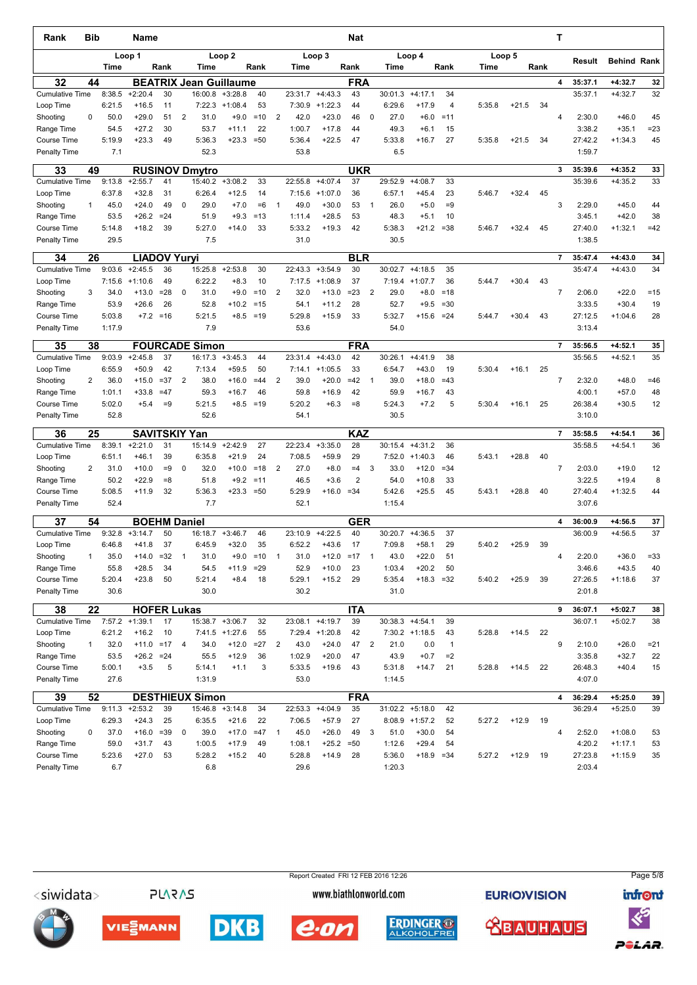| Rank                                      | <b>Bib</b>   |                  | Name                                   |               |                |                                          |                   |               |                |                  |                    | Nat              |              |                  |                   |                |        |         |      | Т              |                    |                        |          |
|-------------------------------------------|--------------|------------------|----------------------------------------|---------------|----------------|------------------------------------------|-------------------|---------------|----------------|------------------|--------------------|------------------|--------------|------------------|-------------------|----------------|--------|---------|------|----------------|--------------------|------------------------|----------|
|                                           |              | Time             | Loop 1                                 | Rank          |                | Time                                     | Loop <sub>2</sub> | Rank          |                | Time             | Loop 3             | Rank             |              | Time             | Loop 4            | Rank           | Time   | Loop 5  | Rank |                | Result             | <b>Behind Rank</b>     |          |
|                                           |              |                  |                                        |               |                |                                          |                   |               |                |                  |                    |                  |              |                  |                   |                |        |         |      | 4              | 35:37.1            | $+4:32.7$              | 32       |
| 32<br><b>Cumulative Time</b>              | 44           | 8:38.5           | $+2:20.4$                              | 30            |                | <b>BEATRIX Jean Guillaume</b><br>16:00.8 | $+3:28.8$         | 40            |                | 23:31.7          | $+4:43.3$          | <b>FRA</b><br>43 |              | 30:01.3          | $+4:17.1$         | 34             |        |         |      |                | 35:37.1            | $+4:32.7$              | 32       |
| Loop Time                                 |              | 6:21.5           | $+16.5$                                | 11            |                | 7:22.3                                   | $+1:08.4$         | 53            |                | 7:30.9           | $+1:22.3$          | 44               |              | 6:29.6           | $+17.9$           | 4              | 5:35.8 | $+21.5$ | 34   |                |                    |                        |          |
| Shooting                                  | 0            | 50.0             | $+29.0$                                | 51            | $\overline{2}$ | 31.0                                     | $+9.0$            | $=10$         | $\overline{2}$ | 42.0             | $+23.0$            | 46               | $\mathbf 0$  | 27.0             | $+6.0$            | $=11$          |        |         |      | 4              | 2:30.0             | $+46.0$                | 45       |
| Range Time                                |              | 54.5             | $+27.2$                                | 30            |                | 53.7                                     | $+11.1$           | 22            |                | 1:00.7           | $+17.8$            | 44               |              | 49.3             | $+6.1$            | 15             |        |         |      |                | 3:38.2             | $+35.1$                | $= 23$   |
| <b>Course Time</b><br><b>Penalty Time</b> |              | 5:19.9<br>7.1    | $+23.3$                                | 49            |                | 5:36.3<br>52.3                           | $+23.3$           | $=50$         |                | 5:36.4<br>53.8   | $+22.5$            | 47               |              | 5:33.8<br>6.5    | $+16.7$           | 27             | 5:35.8 | $+21.5$ | 34   |                | 27:42.2<br>1:59.7  | $+1:34.3$              | 45       |
| 33                                        | 49           |                  |                                        |               |                | <b>RUSINOV Dmytro</b>                    |                   |               |                |                  |                    | <b>UKR</b>       |              |                  |                   |                |        |         |      | 3              | 35:39.6            | +4:35.2                | 33       |
| Cumulative Time                           |              | 9:13.8           | $+2:55.7$                              | 41            |                | 15:40.2                                  | $+3:08.2$         | 33            |                | 22:55.8          | $+4:07.4$          | 37               |              | 29:52.9          | $+4:08.7$         | 33             |        |         |      |                | 35:39.6            | $+4:35.2$              | 33       |
| Loop Time                                 |              | 6:37.8           | $+32.8$                                | 31            |                | 6:26.4                                   | $+12.5$           | 14            |                | 7:15.6           | $+1:07.0$          | 36               |              | 6:57.1           | $+45.4$           | 23             | 5:46.7 | $+32.4$ | 45   |                |                    |                        |          |
| Shooting                                  | 1            | 45.0             | $+24.0$<br>$+26.2$                     | 49<br>$= 24$  | 0              | 29.0<br>51.9                             | $+7.0$<br>$+9.3$  | $=6$<br>$=13$ | $\mathbf{1}$   | 49.0             | $+30.0$<br>$+28.5$ | 53<br>53         | $\mathbf{1}$ | 26.0<br>48.3     | $+5.0$            | $=9$<br>10     |        |         |      | 3              | 2:29.0<br>3:45.1   | $+45.0$<br>$+42.0$     | 44<br>38 |
| Range Time<br>Course Time                 |              | 53.5<br>5:14.8   | $+18.2$                                | 39            |                | 5:27.0                                   | $+14.0$           | 33            |                | 1:11.4<br>5:33.2 | $+19.3$            | 42               |              | 5:38.3           | $+5.1$<br>$+21.2$ | $= 38$         | 5:46.7 | $+32.4$ | 45   |                | 27:40.0            | $+1:32.1$              | $=42$    |
| <b>Penalty Time</b>                       |              | 29.5             |                                        |               |                | 7.5                                      |                   |               |                | 31.0             |                    |                  |              | 30.5             |                   |                |        |         |      |                | 1:38.5             |                        |          |
| 34                                        | 26           |                  | <b>LIADOV Yuryi</b>                    |               |                |                                          |                   |               |                |                  |                    | BLR              |              |                  |                   |                |        |         |      | $\overline{7}$ | 35:47.4            | 14:43.0                | 34       |
| <b>Cumulative Time</b>                    |              | 9:03.6           | $+2:45.5$                              | 36            |                | 15:25.8                                  | $+2:53.8$         | 30            |                | 22:43.3          | $+3:54.9$          | 30               |              | 30:02.7          | $+4:18.5$         | 35             |        |         |      |                | 35:47.4            | $+4:43.0$              | 34       |
| Loop Time                                 |              | 7:15.6           | $+1:10.6$                              | 49            |                | 6:22.2                                   | $+8.3$            | 10            |                | 7:17.5           | $+1:08.9$          | 37               |              | 7:19.4           | $+1:07.7$         | 36             | 5:44.7 | $+30.4$ | 43   |                |                    |                        |          |
| Shooting                                  | 3            | 34.0             | $+13.0$                                | $= 28$        | 0              | 31.0                                     | $+9.0$            | $=10$         | $\overline{2}$ | 32.0             | $+13.0$            | $=23$            | 2            | 29.0             | $+8.0$            | $=18$          |        |         |      | $\overline{7}$ | 2:06.0             | $+22.0$                | $=15$    |
| Range Time                                |              | 53.9             | $+26.6$                                | 26            |                | 52.8                                     | $+10.2$           | $=15$         |                | 54.1             | $+11.2$            | 28               |              | 52.7             | $+9.5$            | $= 30$         |        |         |      |                | 3:33.5             | $+30.4$                | 19       |
| Course Time                               |              | 5:03.8           |                                        | $+7.2 = 16$   |                | 5:21.5                                   |                   | $+8.5 = 19$   |                | 5:29.8           | $+15.9$            | 33               |              | 5:32.7           | $+15.6$           | $= 24$         | 5:44.7 | $+30.4$ | 43   |                | 27:12.5            | $+1:04.6$              | 28       |
| <b>Penalty Time</b>                       |              | 1:17.9           |                                        |               |                | 7.9                                      |                   |               |                | 53.6             |                    |                  |              | 54.0             |                   |                |        |         |      |                | 3:13.4             |                        |          |
| 35                                        | 38           |                  |                                        |               |                | <b>FOURCADE Simon</b>                    |                   |               |                |                  |                    | <b>FRA</b>       |              |                  |                   |                |        |         |      | $\overline{7}$ | 35:56.5            | $+4:52.1$              | 35       |
| <b>Cumulative Time</b>                    |              | 9:03.9           | $+2:45.8$                              | 37            |                | 16:17.3                                  | $+3:45.3$         | 44            |                | 23:31.4          | $+4:43.0$          | 42               |              | 30:26.1          | $+4:41.9$         | 38             |        |         |      |                | 35:56.5            | $+4:52.1$              | 35       |
| Loop Time                                 |              | 6:55.9           | $+50.9$                                | 42            |                | 7:13.4                                   | $+59.5$           | 50            |                | 7:14.1           | $+1:05.5$          | 33               |              | 6:54.7           | $+43.0$           | 19             | 5:30.4 | $+16.1$ | 25   |                |                    |                        |          |
| Shooting                                  | 2            | 36.0             | $+15.0$                                | $= 37$        | 2              | 38.0                                     | $+16.0$           | $=44$         | $\overline{2}$ | 39.0             | $+20.0$            | $=42$            | $\mathbf{1}$ | 39.0             | $+18.0$           | $=43$          |        |         |      | $\overline{7}$ | 2:32.0             | $+48.0$                | $=46$    |
| Range Time<br><b>Course Time</b>          |              | 1:01.1<br>5:02.0 | $+33.8$<br>$+5.4$                      | $=47$<br>$=9$ |                | 59.3<br>5:21.5                           | $+16.7$<br>$+8.5$ | 46<br>$=19$   |                | 59.8<br>5:20.2   | $+16.9$<br>$+6.3$  | 42<br>$= 8$      |              | 59.9<br>5:24.3   | $+16.7$<br>$+7.2$ | 43<br>5        | 5:30.4 | $+16.1$ | 25   |                | 4:00.1<br>26:38.4  | $+57.0$<br>$+30.5$     | 48<br>12 |
| <b>Penalty Time</b>                       |              | 52.8             |                                        |               |                | 52.6                                     |                   |               |                | 54.1             |                    |                  |              | 30.5             |                   |                |        |         |      |                | 3:10.0             |                        |          |
|                                           |              |                  |                                        |               |                |                                          |                   |               |                |                  |                    |                  |              |                  |                   |                |        |         |      |                |                    |                        |          |
| 36<br><b>Cumulative Time</b>              | 25           | 8:39.1           | <b>SAVITSKIY Yan</b><br>$+2:21.0$      | 31            |                | 15:14.9                                  | $+2:42.9$         | 27            |                | 22:23.4          | $+3:35.0$          | <b>KAZ</b><br>28 |              | 30:15.4          | $+4:31.2$         | 36             |        |         |      | $\overline{7}$ | 35:58.5<br>35:58.5 | $+4:54.1$<br>$+4:54.1$ | 36<br>36 |
| Loop Time                                 |              | 6:51.1           | $+46.1$                                | 39            |                | 6:35.8                                   | $+21.9$           | 24            |                | 7:08.5           | $+59.9$            | 29               |              | 7:52.0           | $+1:40.3$         | 46             | 5:43.1 | $+28.8$ | 40   |                |                    |                        |          |
| Shooting                                  | 2            | 31.0             | $+10.0$                                | $=9$          | 0              | 32.0                                     | $+10.0$           | $=18$         | $\overline{2}$ | 27.0             | $+8.0$             | $=4$             | 3            | 33.0             | $+12.0$           | $= 34$         |        |         |      | $\overline{7}$ | 2:03.0             | $+19.0$                | 12       |
| Range Time                                |              | 50.2             | $+22.9$                                | $= 8$         |                | 51.8                                     | $+9.2$            | $=11$         |                | 46.5             | $+3.6$             | $\overline{2}$   |              | 54.0             | $+10.8$           | 33             |        |         |      |                | 3:22.5             | $+19.4$                | 8        |
| <b>Course Time</b>                        |              | 5:08.5           | $+11.9$                                | 32            |                | 5:36.3                                   | $+23.3 = 50$      |               |                | 5:29.9           | $+16.0$            | $= 34$           |              | 5:42.6           | $+25.5$           | 45             | 5:43.1 | $+28.8$ | 40   |                | 27:40.4            | $+1:32.5$              | 44       |
| <b>Penalty Time</b>                       |              | 52.4             |                                        |               |                | 7.7                                      |                   |               |                | 52.1             |                    |                  |              | 1:15.4           |                   |                |        |         |      |                | 3:07.6             |                        |          |
| 37                                        | 54           |                  | <b>BOEHM Daniel</b>                    |               |                |                                          |                   |               |                |                  |                    | <b>GER</b>       |              |                  |                   |                |        |         |      | 4              | 36:00.9            | $+4:56.5$              | 37       |
| <b>Cumulative Time</b>                    |              | 9:32.8           | $+3:14.7$                              | 50            |                | 16:18.7                                  | $+3:46.7$         | 46            |                | 23:10.9          | $+4:22.5$          | 40               |              | 30:20.7          | $+4:36.5$         | 37             |        |         |      |                | 36:00.9            | $+4:56.5$              | 37       |
| Loop Time                                 |              | 6:46.8           | $+41.8$                                | 37            |                | 6:45.9                                   | $+32.0$           | 35            |                | 6:52.2           | $+43.6$            | 17               |              | 7:09.8           | $+58.1$           | 29             | 5:40.2 | $+25.9$ | 39   |                |                    |                        |          |
| Shooting                                  | 1            | 35.0             | $+14.0$                                | $= 32$        | $\mathbf{1}$   | 31.0                                     | $+9.0$            | $=10$         | $\mathbf{1}$   | 31.0             | $+12.0$            | $=17$            | $\mathbf{1}$ | 43.0             | $+22.0$           | 51             |        |         |      | 4              | 2:20.0             | $+36.0$                | $= 33$   |
| Range Time                                |              | 55.8<br>5:20.4   | $+28.5$<br>$+23.8$                     | 34<br>50      |                | 54.5<br>5:21.4                           | $+11.9$           | $= 29$        |                | 52.9<br>5:29.1   | $+10.0$            | 23<br>29         |              | 1:03.4           | $+20.2$           | 50             |        | $+25.9$ |      |                | 3:46.6             | $+43.5$                | 40<br>37 |
| Course Time<br>Penalty Time               |              | 30.6             |                                        |               |                | 30.0                                     | $+8.4$            | 18            |                | 30.2             | $+15.2$            |                  |              | 5:35.4<br>31.0   | $+18.3$           | $= 32$         | 5:40.2 |         | 39   |                | 27:26.5<br>2:01.8  | $+1:18.6$              |          |
|                                           |              |                  |                                        |               |                |                                          |                   |               |                |                  |                    |                  |              |                  |                   |                |        |         |      |                |                    |                        |          |
| 38<br><b>Cumulative Time</b>              | 22           |                  | <b>HOFER Lukas</b><br>$7:57.2$ +1:39.1 | 17            |                |                                          | 15:38.7 +3:06.7   | 32            |                |                  | 23:08.1 +4:19.7    | <b>ITA</b><br>39 |              |                  | $30:38.3 +4:54.1$ | 39             |        |         |      | 9              | 36:07.1<br>36:07.1 | $+5:02.7$<br>$+5:02.7$ | 38<br>38 |
| Loop Time                                 |              | 6:21.2           | $+16.2$                                | 10            |                |                                          | 7:41.5 +1:27.6    | 55            |                |                  | 7:29.4 +1:20.8     | 42               |              |                  | $7:30.2$ +1:18.5  | 43             | 5:28.8 | $+14.5$ | 22   |                |                    |                        |          |
| Shooting                                  | $\mathbf{1}$ | 32.0             | $+11.0$                                | $=17$         | $\overline{4}$ | 34.0                                     | $+12.0$           | $=27$         | $\overline{2}$ | 43.0             | $+24.0$            | 47               | 2            | 21.0             | 0.0               | $\overline{1}$ |        |         |      | 9              | 2:10.0             | $+26.0$                | $= 21$   |
| Range Time                                |              | 53.5             | $+26.2 = 24$                           |               |                | 55.5                                     | $+12.9$           | 36            |                | 1:02.9           | $+20.0$            | 47               |              | 43.9             | $+0.7$            | $=2$           |        |         |      |                | 3:35.8             | $+32.7$                | 22       |
| Course Time                               |              | 5:00.1           | $+3.5$                                 | 5             |                | 5:14.1                                   | $+1.1$            | 3             |                | 5:33.5           | $+19.6$            | 43               |              | 5:31.8           | $+14.7$           | 21             | 5:28.8 | $+14.5$ | 22   |                | 26:48.3            | $+40.4$                | 15       |
| Penalty Time                              |              | 27.6             |                                        |               |                | 1:31.9                                   |                   |               |                | 53.0             |                    |                  |              | 1:14.5           |                   |                |        |         |      |                | 4:07.0             |                        |          |
| 39                                        | 52           |                  |                                        |               |                | <b>DESTHIEUX Simon</b>                   |                   |               |                |                  |                    | <b>FRA</b>       |              |                  |                   |                |        |         |      | 4              | 36:29.4            | $+5:25.0$              | 39       |
| <b>Cumulative Time</b>                    |              | 9:11.3           | $+2:53.2$                              | 39            |                | 15:46.8                                  | $+3:14.8$         | 34            |                | 22:53.3          | $+4:04.9$          | 35               |              |                  | $31:02.2$ +5:18.0 | 42             |        |         |      |                | 36:29.4            | $+5:25.0$              | 39       |
| Loop Time                                 |              | 6:29.3           | $+24.3$                                | 25            |                | 6:35.5                                   | $+21.6$           | 22            |                | 7:06.5           | $+57.9$            | 27               |              |                  | $8:08.9$ +1:57.2  | 52             | 5:27.2 | $+12.9$ | 19   |                |                    |                        |          |
| Shooting                                  | 0            | 37.0             | $+16.0$                                | $= 39$        | 0              | 39.0                                     | $+17.0$           | $=47$         | $\overline{1}$ | 45.0             | $+26.0$            | 49               | 3            | 51.0             | $+30.0$           | 54             |        |         |      | $\overline{4}$ | 2:52.0             | $+1:08.0$              | 53       |
| Range Time                                |              | 59.0             | $+31.7$                                | 43            |                | 1:00.5                                   | $+17.9$           | 49            |                | 1:08.1           | $+25.2$            | $=50$            |              | 1:12.6           | $+29.4$           | 54             |        |         |      |                | 4:20.2             | $+1:17.1$              | 53       |
| Course Time<br>Penalty Time               |              | 5:23.6<br>6.7    | $+27.0$                                | 53            |                | 5:28.2<br>6.8                            | $+15.2$           | 40            |                | 5:28.8<br>29.6   | $+14.9$            | 28               |              | 5:36.0<br>1:20.3 | $+18.9 = 34$      |                | 5:27.2 | $+12.9$ | 19   |                | 27:23.8<br>2:03.4  | $+1:15.9$              | 35       |
|                                           |              |                  |                                        |               |                |                                          |                   |               |                |                  |                    |                  |              |                  |                   |                |        |         |      |                |                    |                        |          |

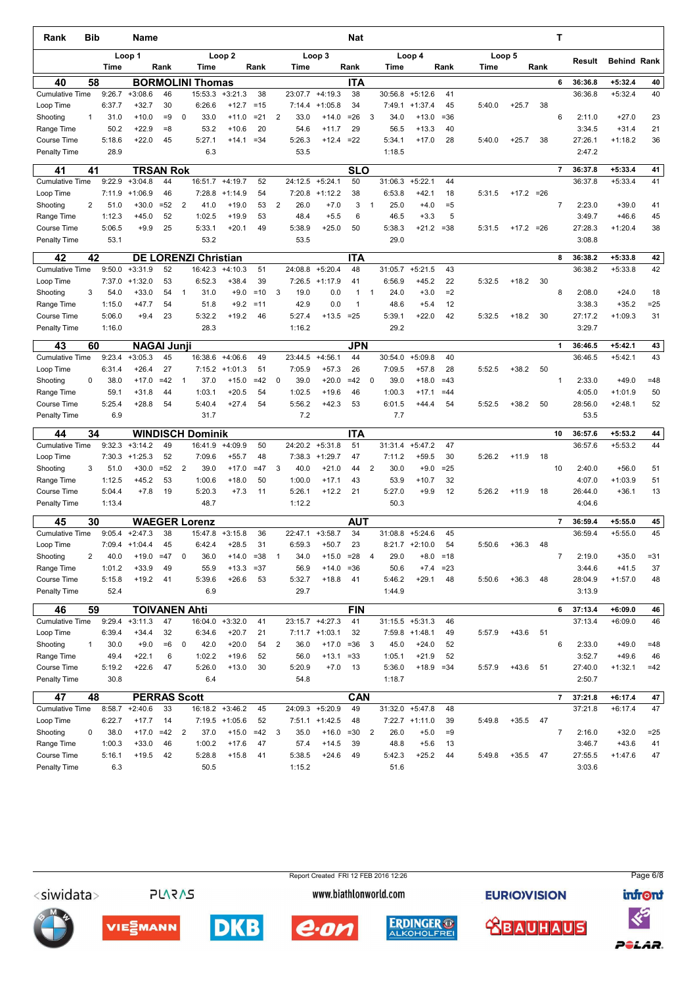| Rank                                | Bib          |                  | Name                   |          |                |                             |                        |             |                |                   |                        | <b>Nat</b>         |                |                   |                      |            |        |              |      | т              |         |                    |        |
|-------------------------------------|--------------|------------------|------------------------|----------|----------------|-----------------------------|------------------------|-------------|----------------|-------------------|------------------------|--------------------|----------------|-------------------|----------------------|------------|--------|--------------|------|----------------|---------|--------------------|--------|
|                                     |              | Time             | Loop 1                 | Rank     |                | Time                        | Loop <sub>2</sub>      | Rank        |                | Time              | Loop 3                 | Rank               |                | Time              | Loop 4               | Rank       | Time   | Loop 5       | Rank |                | Result  | <b>Behind Rank</b> |        |
| 40                                  | 58           |                  |                        |          |                | <b>BORMOLINI Thomas</b>     |                        |             |                |                   |                        | <b>ITA</b>         |                |                   |                      |            |        |              |      | 6              | 36:36.8 | $+5:32.4$          | 40     |
| <b>Cumulative Time</b>              |              | 9:26.7           | $+3:08.6$              | 46       |                | 15:53.3                     | $+3:21.3$              | 38          |                | 23:07.7           | $+4:19.3$              | 38                 |                | 30:56.8           | $+5:12.6$            | 41         |        |              |      |                | 36:36.8 | $+5:32.4$          | 40     |
| Loop Time                           |              | 6:37.7           | $+32.7$                | 30       |                | 6:26.6                      | $+12.7$                | $=15$       |                | 7:14.4            | $+1:05.8$              | 34                 |                | 7:49.1            | $+1:37.4$            | 45         | 5:40.0 | $+25.7$      | 38   |                |         |                    |        |
| Shooting                            | 1            | 31.0             | $+10.0$                | $=9$     | 0              | 33.0                        | $+11.0$                | $= 21$      | $\overline{2}$ | 33.0              | $+14.0$                | $=26$              | 3              | 34.0              | $+13.0$              | $= 36$     |        |              |      | 6              | 2:11.0  | $+27.0$            | 23     |
| Range Time                          |              | 50.2             | $+22.9$                | $= 8$    |                | 53.2                        | $+10.6$                | 20          |                | 54.6              | $+11.7$                | 29                 |                | 56.5              | $+13.3$              | 40         |        |              |      |                | 3:34.5  | $+31.4$            | 21     |
| <b>Course Time</b>                  |              | 5:18.6           | $+22.0$                | 45       |                | 5:27.1                      | $+14.1$                | $= 34$      |                | 5:26.3            | $+12.4$                | $=22$              |                | 5:34.1            | $+17.0$              | 28         | 5:40.0 | $+25.7$      | 38   |                | 27:26.1 | $+1:18.2$          | 36     |
| <b>Penalty Time</b>                 |              | 28.9             |                        |          |                | 6.3                         |                        |             |                | 53.5              |                        |                    |                | 1:18.5            |                      |            |        |              |      |                | 2:47.2  |                    |        |
| 41                                  | 41           |                  | <b>TRSAN Rok</b>       |          |                |                             |                        |             |                |                   |                        | <b>SLO</b>         |                |                   |                      |            |        |              |      | $\overline{7}$ | 36:37.8 | $+5:33.4$          | 41     |
| <b>Cumulative Time</b><br>Loop Time |              | 9:22.9<br>7:11.9 | $+3:04.8$<br>$+1:06.9$ | 44<br>46 |                | 16:51.7<br>7:28.8           | $+4:19.7$<br>$+1:14.9$ | 52<br>54    |                | 24:12.5<br>7:20.8 | $+5:24.1$<br>$+1:12.2$ | 50<br>38           |                | 31:06.3<br>6:53.8 | $+5:22.1$<br>$+42.1$ | 44<br>18   | 5:31.5 | $+17.2 = 26$ |      |                | 36:37.8 | $+5:33.4$          | 41     |
| Shooting                            | 2            | 51.0             | $+30.0$                | $= 52$   | 2              | 41.0                        | $+19.0$                | 53          | 2              | 26.0              | $+7.0$                 | 3                  | $\overline{1}$ | 25.0              | $+4.0$               | $= 5$      |        |              |      | $\overline{7}$ | 2:23.0  | $+39.0$            | 41     |
| Range Time                          |              | 1:12.3           | $+45.0$                | 52       |                | 1:02.5                      | $+19.9$                | 53          |                | 48.4              | $+5.5$                 | 6                  |                | 46.5              | $+3.3$               | 5          |        |              |      |                | 3:49.7  | $+46.6$            | 45     |
| Course Time                         |              | 5:06.5           | $+9.9$                 | 25       |                | 5:33.1                      | $+20.1$                | 49          |                | 5:38.9            | $+25.0$                | 50                 |                | 5:38.3            | $+21.2$              | $= 38$     | 5:31.5 | $+17.2 = 26$ |      |                | 27:28.3 | $+1:20.4$          | 38     |
| <b>Penalty Time</b>                 |              | 53.1             |                        |          |                | 53.2                        |                        |             |                | 53.5              |                        |                    |                | 29.0              |                      |            |        |              |      |                | 3:08.8  |                    |        |
|                                     |              |                  |                        |          |                |                             |                        |             |                |                   |                        |                    |                |                   |                      |            |        |              |      |                |         |                    |        |
| 42                                  | 42           | 9:50.0           |                        |          |                | <b>DE LORENZI Christian</b> | $+4:10.3$              |             |                |                   | $+5:20.4$              | <b>ITA</b>         |                |                   |                      |            |        |              |      | 8              | 36:38.2 | $+5:33.8$          | 42     |
| <b>Cumulative Time</b>              |              |                  | $+3:31.9$              | 52       |                | 16:42.3                     |                        | 51          |                | 24:08.8           |                        | 48                 |                | 31:05.7           | $+5:21.5$            | 43         |        |              |      |                | 36:38.2 | $+5:33.8$          | 42     |
| Loop Time                           | 3            | 7:37.0<br>54.0   | $+1:32.0$<br>$+33.0$   | 53<br>54 | $\mathbf 1$    | 6:52.3<br>31.0              | $+38.4$<br>$+9.0$      | 39<br>$=10$ | 3              | 7:26.5<br>19.0    | $+1:17.9$<br>0.0       | 41<br>$\mathbf{1}$ | $\mathbf{1}$   | 6:56.9<br>24.0    | $+45.2$<br>$+3.0$    | 22<br>$=2$ | 5:32.5 | $+18.2$      | 30   | 8              | 2:08.0  | $+24.0$            | 18     |
| Shooting<br>Range Time              |              | 1:15.0           | $+47.7$                | 54       |                | 51.8                        | $+9.2$                 | $=11$       |                | 42.9              | 0.0                    | $\mathbf{1}$       |                | 48.6              | $+5.4$               | 12         |        |              |      |                | 3:38.3  | $+35.2$            | $=25$  |
| Course Time                         |              | 5:06.0           | $+9.4$                 | 23       |                | 5:32.2                      | $+19.2$                | 46          |                | 5:27.4            | $+13.5$                | $= 25$             |                | 5:39.1            | $+22.0$              | 42         | 5:32.5 | $+18.2$      | 30   |                | 27:17.2 | $+1:09.3$          | 31     |
| <b>Penalty Time</b>                 |              | 1:16.0           |                        |          |                | 28.3                        |                        |             |                | 1:16.2            |                        |                    |                | 29.2              |                      |            |        |              |      |                | 3:29.7  |                    |        |
| 43                                  | 60           |                  | <b>NAGAI Junji</b>     |          |                |                             |                        |             |                |                   |                        | JPN                |                |                   |                      |            |        |              |      | $\mathbf{1}$   | 36:46.5 | $+5:42.1$          | 43     |
| <b>Cumulative Time</b>              |              | 9:23.4           | $+3:05.3$              | 45       |                | 16:38.6                     | $+4:06.6$              | 49          |                | 23:44.5           | $+4:56.1$              | 44                 |                | 30:54.0           | $+5:09.8$            | 40         |        |              |      |                | 36:46.5 | $+5:42.1$          | 43     |
| Loop Time                           |              | 6:31.4           | $+26.4$                | 27       |                | 7:15.2                      | $+1:01.3$              | 51          |                | 7:05.9            | $+57.3$                | 26                 |                | 7:09.5            | $+57.8$              | 28         | 5:52.5 | $+38.2$      | 50   |                |         |                    |        |
| Shooting                            | $\Omega$     | 38.0             | $+17.0$                | $=42$    | $\mathbf{1}$   | 37.0                        | $+15.0$                | $=42$       | $\mathbf 0$    | 39.0              | $+20.0$                | $=42$              | $\mathbf 0$    | 39.0              | $+18.0$              | $=43$      |        |              |      | 1              | 2:33.0  | $+49.0$            | $=48$  |
| Range Time                          |              | 59.1             | $+31.8$                | 44       |                | 1:03.1                      | $+20.5$                | 54          |                | 1:02.5            | $+19.6$                | 46                 |                | 1:00.3            | $+17.1$              | $=44$      |        |              |      |                | 4:05.0  | $+1:01.9$          | 50     |
| Course Time                         |              | 5:25.4           | $+28.8$                | 54       |                | 5:40.4                      | $+27.4$                | 54          |                | 5:56.2            | $+42.3$                | 53                 |                | 6:01.5            | $+44.4$              | 54         | 5:52.5 | $+38.2$      | 50   |                | 28:56.0 | $+2:48.1$          | 52     |
| Penalty Time                        |              | 6.9              |                        |          |                | 31.7                        |                        |             |                | 7.2               |                        |                    |                | 7.7               |                      |            |        |              |      |                | 53.5    |                    |        |
| 44                                  | 34           |                  |                        |          |                | <b>WINDISCH Dominik</b>     |                        |             |                |                   |                        | <b>ITA</b>         |                |                   |                      |            |        |              |      | 10             | 36:57.6 | $+5:53.2$          | 44     |
| <b>Cumulative Time</b>              |              | 9:32.3           | $+3:14.2$              | 49       |                | 16:41.9                     | $+4:09.9$              | 50          |                | 24:20.2           | $+5:31.8$              | 51                 |                | 31:31.4           | $+5:47.2$            | 47         |        |              |      |                | 36:57.6 | $+5:53.2$          | 44     |
| Loop Time                           |              | 7:30.3           | $+1:25.3$              | 52       |                | 7:09.6                      | $+55.7$                | 48          |                | 7:38.3            | $+1:29.7$              | 47                 |                | 7:11.2            | $+59.5$              | 30         | 5:26.2 | $+11.9$      | 18   |                |         |                    |        |
| Shooting                            | 3            | 51.0             | $+30.0$                | $=52$    | 2              | 39.0                        | $+17.0$                | $=47$       | 3              | 40.0              | $+21.0$                | 44                 | $\overline{2}$ | 30.0              | $+9.0$               | $= 25$     |        |              |      | 10             | 2:40.0  | $+56.0$            | 51     |
| Range Time                          |              | 1:12.5           | $+45.2$                | 53       |                | 1:00.6                      | $+18.0$                | 50          |                | 1:00.0            | $+17.1$                | 43                 |                | 53.9              | $+10.7$              | 32         |        |              |      |                | 4:07.0  | $+1:03.9$          | 51     |
| <b>Course Time</b>                  |              | 5:04.4           | $+7.8$                 | 19       |                | 5:20.3                      | $+7.3$                 | 11          |                | 5:26.1            | $+12.2$                | 21                 |                | 5:27.0            | $+9.9$               | 12         | 5:26.2 | $+11.9$      | 18   |                | 26:44.0 | $+36.1$            | 13     |
| <b>Penalty Time</b>                 |              | 1:13.4           |                        |          |                | 48.7                        |                        |             |                | 1:12.2            |                        |                    |                | 50.3              |                      |            |        |              |      |                | 4:04.6  |                    |        |
| 45                                  | 30           |                  |                        |          |                | <b>WAEGER Lorenz</b>        |                        |             |                |                   |                        | <b>AUT</b>         |                |                   |                      |            |        |              |      | $\overline{7}$ | 36:59.4 | $+5:55.0$          | 45     |
| <b>Cumulative Time</b>              |              | 9:05.4           | $+2:47.3$              | 38       |                | 15:47.8                     | $+3:15.8$              | 36          |                | 22:47.1           | $+3:58.7$              | 34                 |                | 31:08.8           | $+5:24.6$            | 45         |        |              |      |                | 36:59.4 | $+5:55.0$          | 45     |
| Loop Time                           |              |                  | $7:09.4$ +1:04.4       | 45       |                | 6:42.4                      | $+28.5$                | 31          |                | 6:59.3            | $+50.7$                | 23                 |                |                   | $8:21.7$ +2:10.0     | 54         | 5:50.6 | $+36.3$      | 48   |                |         |                    |        |
| Shooting                            | 2            | 40.0             | $+19.0$                | $=47$    | 0              | 36.0                        | $+14.0$                | $= 38$      | $\mathbf{1}$   | 34.0              | $+15.0$                | $= 28$             | 4              | 29.0              | $+8.0$               | $=18$      |        |              |      | $\overline{7}$ | 2:19.0  | $+35.0$            | $= 31$ |
| Range Time                          |              | 1:01.2           | $+33.9$                | 49       |                | 55.9                        | $+13.3$                | $= 37$      |                | 56.9              | $+14.0$                | $= 36$             |                | 50.6              | $+7.4$               | $= 23$     |        |              |      |                | 3:44.6  | $+41.5$            | 37     |
| Course Time                         |              | 5:15.8           | $+19.2$                | 41       |                | 5:39.6                      | $+26.6$                | 53          |                | 5:32.7            | $+18.8$                | 41                 |                | 5:46.2            | $+29.1$              | 48         | 5:50.6 | $+36.3$      | 48   |                | 28:04.9 | $+1:57.0$          | 48     |
| Penalty Time                        |              | 52.4             |                        |          |                | 6.9                         |                        |             |                | 29.7              |                        |                    |                | 1:44.9            |                      |            |        |              |      |                | 3:13.9  |                    |        |
| 46                                  | 59           |                  | <b>TOIVANEN Ahti</b>   |          |                |                             |                        |             |                |                   |                        | <b>FIN</b>         |                |                   |                      |            |        |              |      | 6              | 37:13.4 | $+6:09.0$          | 46     |
| <b>Cumulative Time</b>              |              | 9:29.4           | $+3:11.3$              | 47       |                | 16:04.0                     | $+3:32.0$              | 41          |                |                   | 23:15.7 +4:27.3        | 41                 |                |                   | $31:15.5 + 5:31.3$   | 46         |        |              |      |                | 37:13.4 | $+6:09.0$          | 46     |
| Loop Time                           |              | 6:39.4           | $+34.4$                | 32       |                | 6:34.6                      | $+20.7$                | 21          |                |                   | $7:11.7$ +1:03.1       | 32                 |                | 7:59.8            | $+1:48.1$            | 49         | 5:57.9 | $+43.6$      | 51   |                |         |                    |        |
| Shooting                            | $\mathbf{1}$ | 30.0             | $+9.0$                 | $=6$     | 0              | 42.0                        | $+20.0$                | 54          | $\overline{2}$ | 36.0              | $+17.0$                | $= 36$             | 3              | 45.0              | $+24.0$              | 52         |        |              |      | 6              | 2:33.0  | $+49.0$            | $=48$  |
| Range Time                          |              | 49.4             | $+22.1$                | 6        |                | 1:02.2                      | $+19.6$                | 52          |                | 56.0              | $+13.1$                | $= 33$             |                | 1:05.1            | $+21.9$              | 52         |        |              |      |                | 3:52.7  | $+49.6$            | 46     |
| Course Time                         |              | 5:19.2           | $+22.6$                | 47       |                | 5:26.0                      | $+13.0$                | 30          |                | 5:20.9            | $+7.0$                 | 13                 |                | 5:36.0            | $+18.9 = 34$         |            | 5:57.9 | $+43.6$      | 51   |                | 27:40.0 | $+1:32.1$          | $=42$  |
| Penalty Time                        |              | 30.8             |                        |          |                | 6.4                         |                        |             |                | 54.8              |                        |                    |                | 1:18.7            |                      |            |        |              |      |                | 2:50.7  |                    |        |
| 47                                  | 48           |                  | <b>PERRAS Scott</b>    |          |                |                             |                        |             |                |                   |                        | CAN                |                |                   |                      |            |        |              |      | $\overline{7}$ | 37:21.8 | $+6:17.4$          | 47     |
| <b>Cumulative Time</b>              |              |                  | $8:58.7$ +2:40.6       | 33       |                |                             | 16:18.2 +3:46.2        | 45          |                |                   | 24:09.3 +5:20.9        | 49                 |                |                   | 31:32.0 +5:47.8      | 48         |        |              |      |                | 37:21.8 | $+6:17.4$          | 47     |
| Loop Time                           |              | 6:22.7           | $+17.7$                | 14       |                |                             | $7:19.5$ +1:05.6       | 52          |                |                   | $7:51.1$ +1:42.5       | 48                 |                |                   | $7:22.7$ +1:11.0     | 39         | 5:49.8 | $+35.5$      | 47   |                |         |                    |        |
| Shooting                            | 0            | 38.0             | $+17.0$                | $=42$    | $\overline{2}$ | 37.0                        | $+15.0$                | $=42$       | 3              | 35.0              | $+16.0$                | $= 30$             | $\overline{2}$ | 26.0              | $+5.0$               | $=9$       |        |              |      | $\overline{7}$ | 2:16.0  | $+32.0$            | $=25$  |
| Range Time                          |              | 1:00.3           | $+33.0$                | 46       |                | 1:00.2                      | $+17.6$                | 47          |                | 57.4              | $+14.5$                | 39                 |                | 48.8              | $+5.6$               | 13         |        |              |      |                | 3:46.7  | $+43.6$            | 41     |
| Course Time                         |              | 5:16.1           | $+19.5$                | 42       |                | 5:28.8                      | $+15.8$                | 41          |                | 5:38.5            | $+24.6$                | 49                 |                | 5:42.3            | $+25.2$              | 44         | 5:49.8 | $+35.5$      | 47   |                | 27:55.5 | $+1:47.6$          | 47     |
| Penalty Time                        |              | 6.3              |                        |          |                | 50.5                        |                        |             |                | 1:15.2            |                        |                    |                | 51.6              |                      |            |        |              |      |                | 3:03.6  |                    |        |

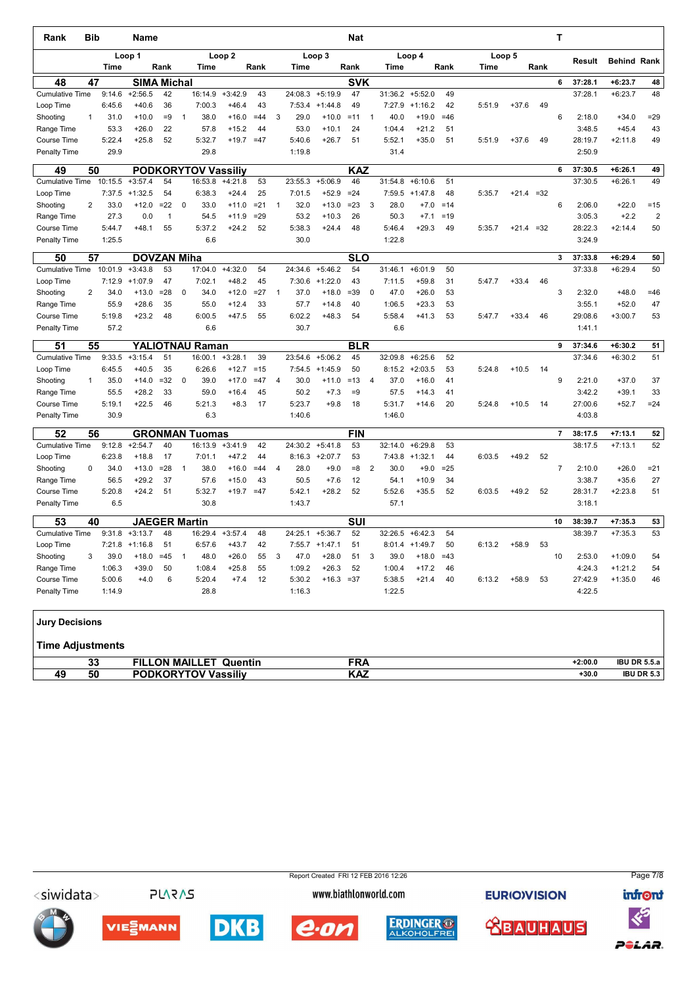| Rank                   | Bib            |             | <b>Name</b>          |              |              |                            |                   |        |                |         |                  | Nat        |                |             |                  |       |        |         |       | т              |         |                    |                |
|------------------------|----------------|-------------|----------------------|--------------|--------------|----------------------------|-------------------|--------|----------------|---------|------------------|------------|----------------|-------------|------------------|-------|--------|---------|-------|----------------|---------|--------------------|----------------|
|                        |                |             | Loop 1               |              |              |                            | Loop <sub>2</sub> |        |                |         | Loop 3           |            |                |             | Loop 4           |       |        | Loop 5  |       |                | Result  | <b>Behind Rank</b> |                |
|                        |                | <b>Time</b> |                      | Rank         |              | <b>Time</b>                |                   | Rank   |                | Time    |                  | Rank       |                | <b>Time</b> |                  | Rank  | Time   |         | Rank  |                |         |                    |                |
| 48                     | 47             |             | <b>SIMA Michal</b>   |              |              |                            |                   |        |                |         |                  | <b>SVK</b> |                |             |                  |       |        |         |       | 6              | 37:28.1 | $+6:23.7$          | 48             |
| <b>Cumulative Time</b> |                | 9:14.6      | $+2:56.5$            | 42           |              | 16:14.9                    | $+3:42.9$         | 43     |                | 24:08.3 | $+5:19.9$        | 47         |                | 31:36.2     | $+5:52.0$        | 49    |        |         |       |                | 37:28.1 | $+6:23.7$          | 48             |
| Loop Time              |                | 6:45.6      | $+40.6$              | 36           |              | 7:00.3                     | $+46.4$           | 43     |                | 7:53.4  | $+1:44.8$        | 49         |                | 7:27.9      | $+1:16.2$        | 42    | 5:51.9 | $+37.6$ | 49    |                |         |                    |                |
| Shooting               | 1              | 31.0        | $+10.0$              | $=9$         | $\mathbf{1}$ | 38.0                       | $+16.0$           | $=44$  | 3              | 29.0    | $+10.0$          | $=11$      | $\mathbf{1}$   | 40.0        | $+19.0$          | $=46$ |        |         |       | 6              | 2:18.0  | $+34.0$            | $= 29$         |
| Range Time             |                | 53.3        | $+26.0$              | 22           |              | 57.8                       | $+15.2$           | 44     |                | 53.0    | $+10.1$          | 24         |                | 1:04.4      | $+21.2$          | 51    |        |         |       |                | 3:48.5  | $+45.4$            | 43             |
| <b>Course Time</b>     |                | 5:22.4      | $+25.8$              | 52           |              | 5:32.7                     | $+19.7$           | $=47$  |                | 5:40.6  | $+26.7$          | 51         |                | 5:52.1      | $+35.0$          | 51    | 5:51.9 | $+37.6$ | 49    |                | 28:19.7 | $+2:11.8$          | 49             |
| <b>Penalty Time</b>    |                | 29.9        |                      |              |              | 29.8                       |                   |        |                | 1:19.8  |                  |            |                | 31.4        |                  |       |        |         |       |                | 2:50.9  |                    |                |
| 49                     | 50             |             |                      |              |              | <b>PODKORYTOV Vassiliy</b> |                   |        |                |         |                  | KAZ        |                |             |                  |       |        |         |       | 6              | 37:30.5 | $+6:26.1$          | 49             |
| <b>Cumulative Time</b> |                | 10:15.5     | $+3:57.4$            | 54           |              | 16:53.8                    | $+4:21.8$         | 53     |                | 23:55.3 | $+5:06.9$        | 46         |                | 31:54.8     | $+6:10.6$        | 51    |        |         |       |                | 37:30.5 | $+6:26.1$          | 49             |
| Loop Time              |                | 7:37.5      | $+1:32.5$            | 54           |              | 6:38.3                     | $+24.4$           | 25     |                | 7:01.5  | $+52.9$          | $=24$      |                | 7:59.5      | $+1:47.8$        | 48    | 5:35.7 | $+21.4$ | $=32$ |                |         |                    |                |
| Shooting               | $\overline{2}$ | 33.0        | $+12.0$              | $=22$        | 0            | 33.0                       | $+11.0$           | $= 21$ | $\mathbf{1}$   | 32.0    | $+13.0$          | $= 23$     | 3              | 28.0        | $+7.0$           | $=14$ |        |         |       | 6              | 2:06.0  | $+22.0$            | $=15$          |
| Range Time             |                | 27.3        | 0.0                  | $\mathbf{1}$ |              | 54.5                       | $+11.9$           | $=29$  |                | 53.2    | $+10.3$          | 26         |                | 50.3        | $+7.1$           | $=19$ |        |         |       |                | 3:05.3  | $+2.2$             | $\overline{2}$ |
| Course Time            |                | 5:44.7      | $+48.1$              | 55           |              | 5:37.2                     | $+24.2$           | 52     |                | 5:38.3  | $+24.4$          | 48         |                | 5:46.4      | $+29.3$          | 49    | 5:35.7 | $+21.4$ | $=32$ |                | 28:22.3 | $+2:14.4$          | 50             |
| Penalty Time           |                | 1:25.5      |                      |              |              | 6.6                        |                   |        |                | 30.0    |                  |            |                | 1:22.8      |                  |       |        |         |       |                | 3:24.9  |                    |                |
| 50                     | 57             |             | <b>DOVZAN Miha</b>   |              |              |                            |                   |        |                |         |                  | <b>SLO</b> |                |             |                  |       |        |         |       | 3              | 37:33.8 | $+6:29.4$          | 50             |
| <b>Cumulative Time</b> |                | 10:01.9     | $+3:43.8$            | 53           |              | 17:04.0                    | $+4:32.0$         | 54     |                | 24:34.6 | $+5:46.2$        | 54         |                | 31:46.1     | $+6:01.9$        | 50    |        |         |       |                | 37:33.8 | $+6:29.4$          | 50             |
| Loop Time              |                | 7:12.9      | $+1:07.9$            | 47           |              | 7:02.1                     | $+48.2$           | 45     |                | 7:30.6  | $+1:22.0$        | 43         |                | 7:11.5      | $+59.8$          | 31    | 5:47.7 | $+33.4$ | 46    |                |         |                    |                |
| Shooting               | $\overline{2}$ | 34.0        | $+13.0$              | $= 28$       | $\mathbf 0$  | 34.0                       | $+12.0$           | $=27$  | $\overline{1}$ | 37.0    | $+18.0$          | $= 39$     | $\mathbf 0$    | 47.0        | $+26.0$          | 53    |        |         |       | 3              | 2:32.0  | $+48.0$            | $=46$          |
| Range Time             |                | 55.9        | $+28.6$              | 35           |              | 55.0                       | $+12.4$           | 33     |                | 57.7    | $+14.8$          | 40         |                | 1:06.5      | $+23.3$          | 53    |        |         |       |                | 3:55.1  | $+52.0$            | 47             |
| <b>Course Time</b>     |                | 5:19.8      | $+23.2$              | 48           |              | 6:00.5                     | $+47.5$           | 55     |                | 6:02.2  | $+48.3$          | 54         |                | 5:58.4      | $+41.3$          | 53    | 5:47.7 | $+33.4$ | 46    |                | 29:08.6 | $+3:00.7$          | 53             |
| Penalty Time           |                | 57.2        |                      |              |              | 6.6                        |                   |        |                | 30.7    |                  |            |                | 6.6         |                  |       |        |         |       |                | 1:41.1  |                    |                |
| 51                     | 55             |             |                      |              |              | <b>YALIOTNAU Raman</b>     |                   |        |                |         |                  | <b>BLR</b> |                |             |                  |       |        |         |       | 9              | 37:34.6 | $+6:30.2$          | 51             |
| <b>Cumulative Time</b> |                | 9:33.5      | $+3:15.4$            | 51           |              | 16:00.1                    | $+3:28.1$         | 39     |                | 23:54.6 | $+5:06.2$        | 45         |                | 32:09.8     | $+6:25.6$        | 52    |        |         |       |                | 37:34.6 | $+6:30.2$          | 51             |
| Loop Time              |                | 6:45.5      | $+40.5$              | 35           |              | 6:26.6                     | $+12.7$           | $=15$  |                | 7:54.5  | $+1:45.9$        | 50         |                |             | $8:15.2$ +2:03.5 | 53    | 5:24.8 | $+10.5$ | 14    |                |         |                    |                |
| Shooting               | 1              | 35.0        | $+14.0$              | $=32$        | 0            | 39.0                       | $+17.0$           | $=47$  | 4              | 30.0    | $+11.0$          | $=13$      | 4              | 37.0        | $+16.0$          | 41    |        |         |       | 9              | 2:21.0  | $+37.0$            | 37             |
| Range Time             |                | 55.5        | $+28.2$              | 33           |              | 59.0                       | $+16.4$           | 45     |                | 50.2    | $+7.3$           | $=9$       |                | 57.5        | $+14.3$          | 41    |        |         |       |                | 3:42.2  | $+39.1$            | 33             |
| <b>Course Time</b>     |                | 5:19.1      | $+22.5$              | 46           |              | 5:21.3                     | $+8.3$            | 17     |                | 5:23.7  | $+9.8$           | 18         |                | 5:31.7      | $+14.6$          | 20    | 5:24.8 | $+10.5$ | 14    |                | 27:00.6 | $+52.7$            | $= 24$         |
| Penalty Time           |                | 30.9        |                      |              |              | 6.3                        |                   |        |                | 1:40.6  |                  |            |                | 1:46.0      |                  |       |        |         |       |                | 4:03.8  |                    |                |
| 52                     | 56             |             |                      |              |              | <b>GRONMAN Tuomas</b>      |                   |        |                |         |                  | FIN        |                |             |                  |       |        |         |       | $\overline{7}$ | 38:17.5 | $+7:13.1$          | 52             |
| <b>Cumulative Time</b> |                | 9:12.8      | $+2:54.7$            | 40           |              | 16:13.9                    | $+3:41.9$         | 42     |                | 24:30.2 | $+5:41.8$        | 53         |                | 32:14.0     | $+6:29.8$        | 53    |        |         |       |                | 38:17.5 | $+7:13.1$          | 52             |
| Loop Time              |                | 6:23.8      | $+18.8$              | 17           |              | 7:01.1                     | $+47.2$           | 44     |                |         | $8:16.3 +2:07.7$ | 53         |                | 7:43.8      | $+1:32.1$        | 44    | 6:03.5 | $+49.2$ | 52    |                |         |                    |                |
| Shooting               | $\mathbf 0$    | 34.0        | $+13.0$              | $= 28$       | $\mathbf{1}$ | 38.0                       | $+16.0$           | $=44$  | $\overline{4}$ | 28.0    | $+9.0$           | $= 8$      | $\overline{2}$ | 30.0        | $+9.0$           | $=25$ |        |         |       | $\overline{7}$ | 2:10.0  | $+26.0$            | $= 21$         |
| Range Time             |                | 56.5        | $+29.2$              | 37           |              | 57.6                       | $+15.0$           | 43     |                | 50.5    | $+7.6$           | 12         |                | 54.1        | $+10.9$          | 34    |        |         |       |                | 3:38.7  | $+35.6$            | 27             |
| <b>Course Time</b>     |                | 5:20.8      | $+24.2$              | 51           |              | 5:32.7                     | $+19.7$           | $=47$  |                | 5:42.1  | $+28.2$          | 52         |                | 5:52.6      | $+35.5$          | 52    | 6:03.5 | $+49.2$ | 52    |                | 28:31.7 | $+2:23.8$          | 51             |
| <b>Penalty Time</b>    |                | 6.5         |                      |              |              | 30.8                       |                   |        |                | 1:43.7  |                  |            |                | 57.1        |                  |       |        |         |       |                | 3:18.1  |                    |                |
| 53                     | 40             |             | <b>JAEGER Martin</b> |              |              |                            |                   |        |                |         |                  | SUI        |                |             |                  |       |        |         |       | 10             | 38:39.7 | $+7:35.3$          | 53             |
| <b>Cumulative Time</b> |                | 9:31.8      | $+3:13.7$            | 48           |              | 16:29.4                    | $+3:57.4$         | 48     |                | 24:25.1 | $+5:36.7$        | 52         |                | 32:26.5     | $+6:42.3$        | 54    |        |         |       |                | 38:39.7 | $+7:35.3$          | 53             |
| Loop Time              |                | 7:21.8      | $+1:16.8$            | 51           |              | 6:57.6                     | $+43.7$           | 42     |                | 7:55.7  | $+1:47.1$        | 51         |                | 8:01.4      | $+1:49.7$        | 50    | 6:13.2 | $+58.9$ | 53    |                |         |                    |                |
| Shooting               | 3              | 39.0        | $+18.0$              | $=45$        | $\mathbf{1}$ | 48.0                       | $+26.0$           | 55     | 3              | 47.0    | $+28.0$          | 51         | 3              | 39.0        | $+18.0$          | $=43$ |        |         |       | 10             | 2:53.0  | $+1:09.0$          | 54             |
| Range Time             |                | 1:06.3      | $+39.0$              | 50           |              | 1:08.4                     | $+25.8$           | 55     |                | 1:09.2  | $+26.3$          | 52         |                | 1:00.4      | $+17.2$          | 46    |        |         |       |                | 4:24.3  | $+1:21.2$          | 54             |
| <b>Course Time</b>     |                | 5:00.6      | $+4.0$               | 6            |              | 5:20.4                     | $+7.4$            | 12     |                | 5:30.2  | $+16.3$          | $= 37$     |                | 5:38.5      | $+21.4$          | 40    | 6:13.2 | $+58.9$ | 53    |                | 27:42.9 | $+1:35.0$          | 46             |
| Penalty Time           |                | 1:14.9      |                      |              |              | 28.8                       |                   |        |                | 1:16.3  |                  |            |                | 1:22.5      |                  |       |        |         |       |                | 4:22.5  |                    |                |
| <b>Jury Decisions</b>  |                |             |                      |              |              |                            |                   |        |                |         |                  |            |                |             |                  |       |        |         |       |                |         |                    |                |

## Time Adjustments

| . .<br><b>MAILLE</b><br><b>FILLON</b><br>$\sim$<br>. .<br>12:00.0<br>Quentin<br>IV<br>vu |  |                    |
|------------------------------------------------------------------------------------------|--|--------------------|
|                                                                                          |  | <b>IBU DR 5.5.</b> |
| <br>.<br>.<br><b>PODKORYTOV</b><br>AС<br>$+30.0$<br>Vassiliv<br>rov<br>υυ                |  | <b>UDR 5.3</b>     |